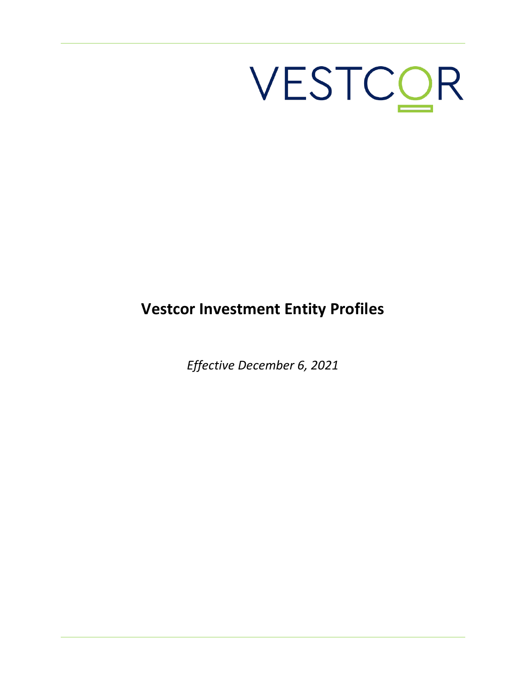# VESTCOR

## **Vestcor Investment Entity Profiles**

*Effective December 6, 2021*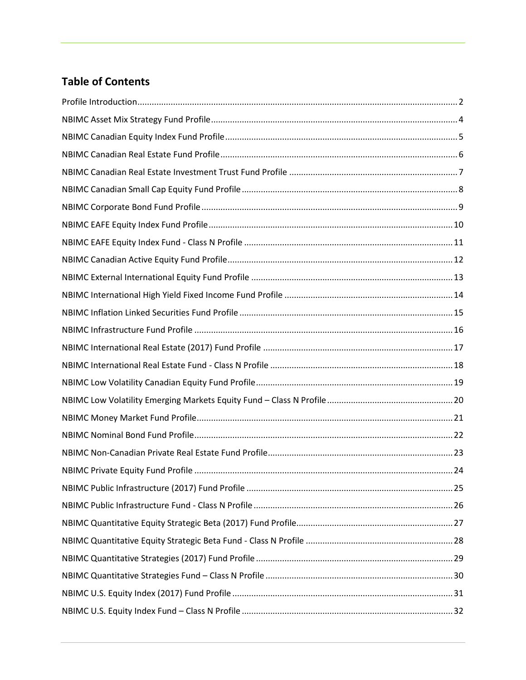#### **Table of Contents**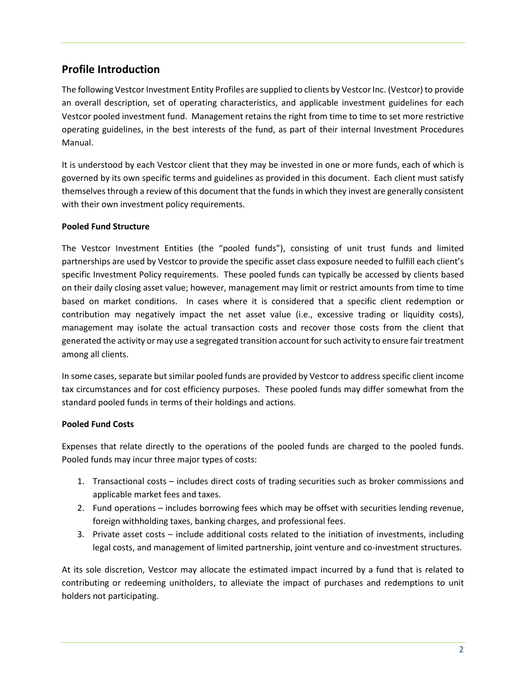#### <span id="page-3-0"></span>**Profile Introduction**

The following Vestcor Investment Entity Profiles are supplied to clients by Vestcor Inc. (Vestcor) to provide an overall description, set of operating characteristics, and applicable investment guidelines for each Vestcor pooled investment fund. Management retains the right from time to time to set more restrictive operating guidelines, in the best interests of the fund, as part of their internal Investment Procedures Manual.

It is understood by each Vestcor client that they may be invested in one or more funds, each of which is governed by its own specific terms and guidelines as provided in this document. Each client must satisfy themselves through a review of this document that the funds in which they invest are generally consistent with their own investment policy requirements.

#### **Pooled Fund Structure**

The Vestcor Investment Entities (the "pooled funds"), consisting of unit trust funds and limited partnerships are used by Vestcor to provide the specific asset class exposure needed to fulfill each client's specific Investment Policy requirements. These pooled funds can typically be accessed by clients based on their daily closing asset value; however, management may limit or restrict amounts from time to time based on market conditions. In cases where it is considered that a specific client redemption or contribution may negatively impact the net asset value (i.e., excessive trading or liquidity costs), management may isolate the actual transaction costs and recover those costs from the client that generated the activity or may use a segregated transition account for such activity to ensure fair treatment among all clients.

In some cases, separate but similar pooled funds are provided by Vestcor to address specific client income tax circumstances and for cost efficiency purposes. These pooled funds may differ somewhat from the standard pooled funds in terms of their holdings and actions.

#### **Pooled Fund Costs**

Expenses that relate directly to the operations of the pooled funds are charged to the pooled funds. Pooled funds may incur three major types of costs:

- 1. Transactional costs includes direct costs of trading securities such as broker commissions and applicable market fees and taxes.
- 2. Fund operations includes borrowing fees which may be offset with securities lending revenue, foreign withholding taxes, banking charges, and professional fees.
- 3. Private asset costs include additional costs related to the initiation of investments, including legal costs, and management of limited partnership, joint venture and co-investment structures.

At its sole discretion, Vestcor may allocate the estimated impact incurred by a fund that is related to contributing or redeeming unitholders, to alleviate the impact of purchases and redemptions to unit holders not participating.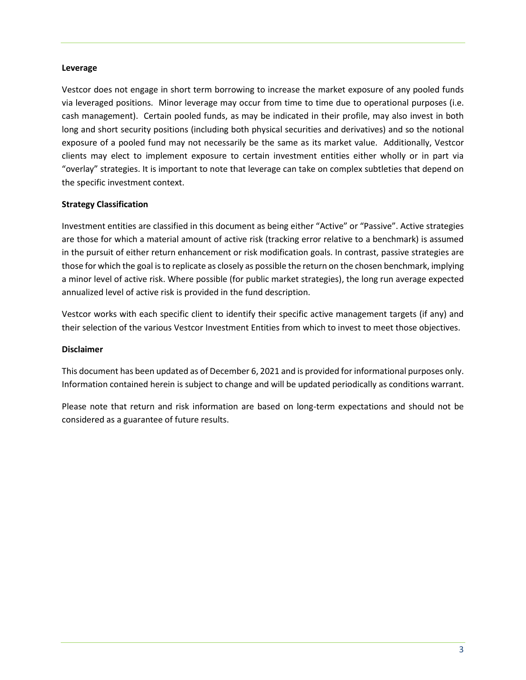#### **Leverage**

Vestcor does not engage in short term borrowing to increase the market exposure of any pooled funds via leveraged positions. Minor leverage may occur from time to time due to operational purposes (i.e. cash management). Certain pooled funds, as may be indicated in their profile, may also invest in both long and short security positions (including both physical securities and derivatives) and so the notional exposure of a pooled fund may not necessarily be the same as its market value. Additionally, Vestcor clients may elect to implement exposure to certain investment entities either wholly or in part via "overlay" strategies. It is important to note that leverage can take on complex subtleties that depend on the specific investment context.

#### **Strategy Classification**

Investment entities are classified in this document as being either "Active" or "Passive". Active strategies are those for which a material amount of active risk (tracking error relative to a benchmark) is assumed in the pursuit of either return enhancement or risk modification goals. In contrast, passive strategies are those for which the goal is to replicate as closely as possible the return on the chosen benchmark, implying a minor level of active risk. Where possible (for public market strategies), the long run average expected annualized level of active risk is provided in the fund description.

Vestcor works with each specific client to identify their specific active management targets (if any) and their selection of the various Vestcor Investment Entities from which to invest to meet those objectives.

#### **Disclaimer**

This document has been updated as of December 6, 2021 and is provided for informational purposes only. Information contained herein is subject to change and will be updated periodically as conditions warrant.

Please note that return and risk information are based on long-term expectations and should not be considered as a guarantee of future results.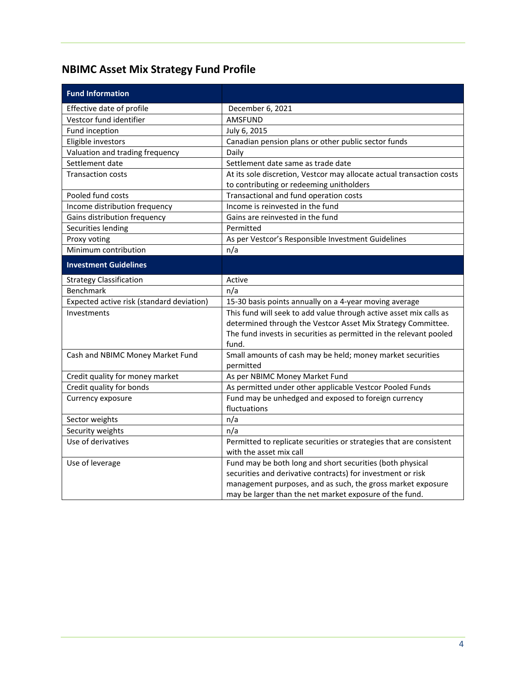## <span id="page-5-0"></span>**NBIMC Asset Mix Strategy Fund Profile**

| <b>Fund Information</b>                   |                                                                       |
|-------------------------------------------|-----------------------------------------------------------------------|
| Effective date of profile                 | December 6, 2021                                                      |
| Vestcor fund identifier                   | AMSFUND                                                               |
| Fund inception                            | July 6, 2015                                                          |
| Eligible investors                        | Canadian pension plans or other public sector funds                   |
| Valuation and trading frequency           | Daily                                                                 |
| Settlement date                           | Settlement date same as trade date                                    |
| <b>Transaction costs</b>                  | At its sole discretion, Vestcor may allocate actual transaction costs |
|                                           | to contributing or redeeming unitholders                              |
| Pooled fund costs                         | Transactional and fund operation costs                                |
| Income distribution frequency             | Income is reinvested in the fund                                      |
| Gains distribution frequency              | Gains are reinvested in the fund                                      |
| Securities lending                        | Permitted                                                             |
| Proxy voting                              | As per Vestcor's Responsible Investment Guidelines                    |
| Minimum contribution                      | n/a                                                                   |
| <b>Investment Guidelines</b>              |                                                                       |
| <b>Strategy Classification</b>            | Active                                                                |
| Benchmark                                 | n/a                                                                   |
| Expected active risk (standard deviation) | 15-30 basis points annually on a 4-year moving average                |
| Investments                               | This fund will seek to add value through active asset mix calls as    |
|                                           | determined through the Vestcor Asset Mix Strategy Committee.          |
|                                           | The fund invests in securities as permitted in the relevant pooled    |
|                                           | fund.                                                                 |
| Cash and NBIMC Money Market Fund          | Small amounts of cash may be held; money market securities            |
|                                           | permitted                                                             |
| Credit quality for money market           | As per NBIMC Money Market Fund                                        |
| Credit quality for bonds                  | As permitted under other applicable Vestcor Pooled Funds              |
| Currency exposure                         | Fund may be unhedged and exposed to foreign currency                  |
|                                           | fluctuations                                                          |
| Sector weights                            | n/a                                                                   |
| Security weights                          | n/a                                                                   |
| Use of derivatives                        | Permitted to replicate securities or strategies that are consistent   |
|                                           | with the asset mix call                                               |
| Use of leverage                           | Fund may be both long and short securities (both physical             |
|                                           | securities and derivative contracts) for investment or risk           |
|                                           | management purposes, and as such, the gross market exposure           |
|                                           | may be larger than the net market exposure of the fund.               |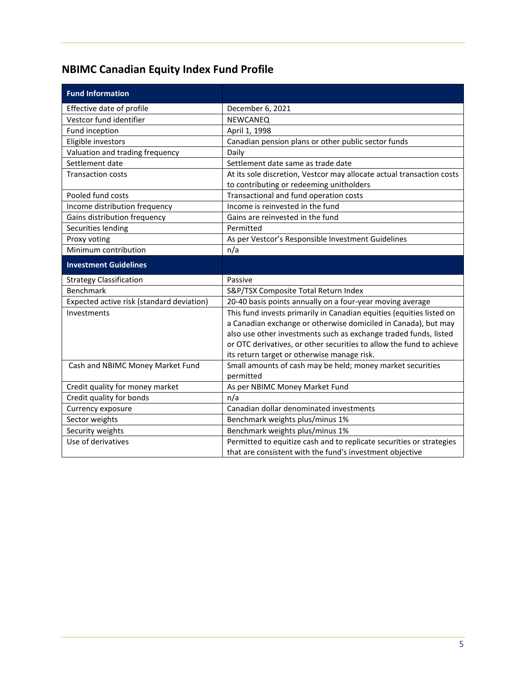## <span id="page-6-0"></span>**NBIMC Canadian Equity Index Fund Profile**

| <b>Fund Information</b>                   |                                                                                                                                  |
|-------------------------------------------|----------------------------------------------------------------------------------------------------------------------------------|
| Effective date of profile                 | December 6, 2021                                                                                                                 |
| Vestcor fund identifier                   | NEWCANEQ                                                                                                                         |
| Fund inception                            | April 1, 1998                                                                                                                    |
| Eligible investors                        | Canadian pension plans or other public sector funds                                                                              |
| Valuation and trading frequency           | Daily                                                                                                                            |
| Settlement date                           | Settlement date same as trade date                                                                                               |
| <b>Transaction costs</b>                  | At its sole discretion, Vestcor may allocate actual transaction costs                                                            |
|                                           | to contributing or redeeming unitholders                                                                                         |
| Pooled fund costs                         | Transactional and fund operation costs                                                                                           |
| Income distribution frequency             | Income is reinvested in the fund                                                                                                 |
| Gains distribution frequency              | Gains are reinvested in the fund                                                                                                 |
| Securities lending                        | Permitted                                                                                                                        |
| Proxy voting                              | As per Vestcor's Responsible Investment Guidelines                                                                               |
| Minimum contribution                      | n/a                                                                                                                              |
| <b>Investment Guidelines</b>              |                                                                                                                                  |
| <b>Strategy Classification</b>            | Passive                                                                                                                          |
| <b>Benchmark</b>                          | S&P/TSX Composite Total Return Index                                                                                             |
| Expected active risk (standard deviation) | 20-40 basis points annually on a four-year moving average                                                                        |
| Investments                               | This fund invests primarily in Canadian equities (equities listed on                                                             |
|                                           | a Canadian exchange or otherwise domiciled in Canada), but may                                                                   |
|                                           | also use other investments such as exchange traded funds, listed                                                                 |
|                                           | or OTC derivatives, or other securities to allow the fund to achieve                                                             |
|                                           | its return target or otherwise manage risk.                                                                                      |
|                                           |                                                                                                                                  |
| Cash and NBIMC Money Market Fund          | Small amounts of cash may be held; money market securities                                                                       |
|                                           | permitted                                                                                                                        |
| Credit quality for money market           | As per NBIMC Money Market Fund                                                                                                   |
| Credit quality for bonds                  | n/a                                                                                                                              |
| Currency exposure                         | Canadian dollar denominated investments                                                                                          |
| Sector weights                            | Benchmark weights plus/minus 1%                                                                                                  |
| Security weights                          | Benchmark weights plus/minus 1%                                                                                                  |
| Use of derivatives                        | Permitted to equitize cash and to replicate securities or strategies<br>that are consistent with the fund's investment objective |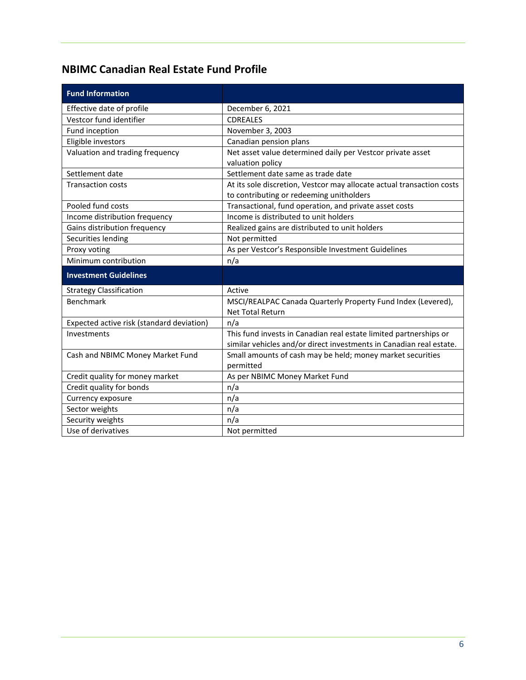### <span id="page-7-0"></span>**NBIMC Canadian Real Estate Fund Profile**

| <b>Fund Information</b>                   |                                                                       |
|-------------------------------------------|-----------------------------------------------------------------------|
| Effective date of profile                 | December 6, 2021                                                      |
| Vestcor fund identifier                   | <b>CDREALES</b>                                                       |
| Fund inception                            | November 3, 2003                                                      |
| Eligible investors                        | Canadian pension plans                                                |
| Valuation and trading frequency           | Net asset value determined daily per Vestcor private asset            |
|                                           | valuation policy                                                      |
| Settlement date                           | Settlement date same as trade date                                    |
| <b>Transaction costs</b>                  | At its sole discretion, Vestcor may allocate actual transaction costs |
|                                           | to contributing or redeeming unitholders                              |
| Pooled fund costs                         | Transactional, fund operation, and private asset costs                |
| Income distribution frequency             | Income is distributed to unit holders                                 |
| Gains distribution frequency              | Realized gains are distributed to unit holders                        |
| Securities lending                        | Not permitted                                                         |
| Proxy voting                              | As per Vestcor's Responsible Investment Guidelines                    |
| Minimum contribution                      | n/a                                                                   |
| <b>Investment Guidelines</b>              |                                                                       |
| <b>Strategy Classification</b>            | Active                                                                |
| <b>Benchmark</b>                          | MSCI/REALPAC Canada Quarterly Property Fund Index (Levered),          |
|                                           | <b>Net Total Return</b>                                               |
| Expected active risk (standard deviation) | n/a                                                                   |
| Investments                               | This fund invests in Canadian real estate limited partnerships or     |
|                                           | similar vehicles and/or direct investments in Canadian real estate.   |
| Cash and NBIMC Money Market Fund          | Small amounts of cash may be held; money market securities            |
|                                           | permitted                                                             |
| Credit quality for money market           | As per NBIMC Money Market Fund                                        |
| Credit quality for bonds                  | n/a                                                                   |
| Currency exposure                         | n/a                                                                   |
| Sector weights                            | n/a                                                                   |
| Security weights                          | n/a                                                                   |
| Use of derivatives                        | Not permitted                                                         |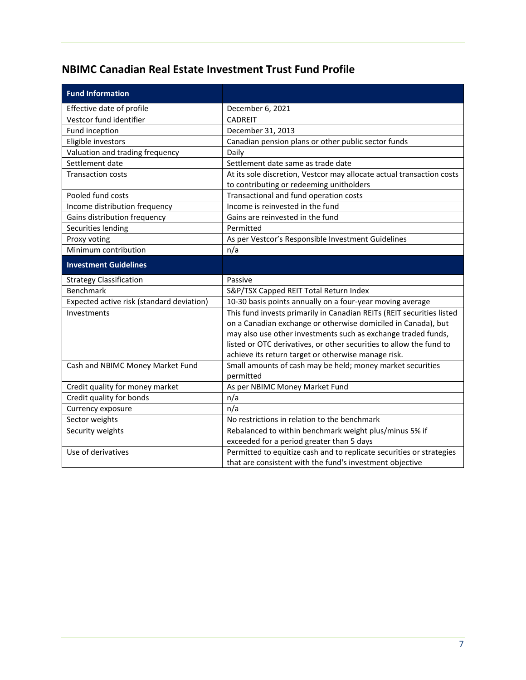### <span id="page-8-0"></span>**NBIMC Canadian Real Estate Investment Trust Fund Profile**

| <b>Fund Information</b>                   |                                                                       |
|-------------------------------------------|-----------------------------------------------------------------------|
| Effective date of profile                 | December 6, 2021                                                      |
| Vestcor fund identifier                   | <b>CADREIT</b>                                                        |
| Fund inception                            | December 31, 2013                                                     |
| Eligible investors                        | Canadian pension plans or other public sector funds                   |
| Valuation and trading frequency           | Daily                                                                 |
| Settlement date                           | Settlement date same as trade date                                    |
| <b>Transaction costs</b>                  | At its sole discretion, Vestcor may allocate actual transaction costs |
|                                           | to contributing or redeeming unitholders                              |
| Pooled fund costs                         | Transactional and fund operation costs                                |
| Income distribution frequency             | Income is reinvested in the fund                                      |
| Gains distribution frequency              | Gains are reinvested in the fund                                      |
| Securities lending                        | Permitted                                                             |
| Proxy voting                              | As per Vestcor's Responsible Investment Guidelines                    |
| Minimum contribution                      | n/a                                                                   |
| <b>Investment Guidelines</b>              |                                                                       |
| <b>Strategy Classification</b>            | Passive                                                               |
| Benchmark                                 | S&P/TSX Capped REIT Total Return Index                                |
| Expected active risk (standard deviation) | 10-30 basis points annually on a four-year moving average             |
| Investments                               | This fund invests primarily in Canadian REITs (REIT securities listed |
|                                           | on a Canadian exchange or otherwise domiciled in Canada), but         |
|                                           | may also use other investments such as exchange traded funds,         |
|                                           | listed or OTC derivatives, or other securities to allow the fund to   |
|                                           | achieve its return target or otherwise manage risk.                   |
| Cash and NBIMC Money Market Fund          | Small amounts of cash may be held; money market securities            |
|                                           | permitted                                                             |
| Credit quality for money market           | As per NBIMC Money Market Fund                                        |
| Credit quality for bonds                  | n/a                                                                   |
| Currency exposure                         | n/a                                                                   |
| Sector weights                            | No restrictions in relation to the benchmark                          |
| Security weights                          | Rebalanced to within benchmark weight plus/minus 5% if                |
|                                           | exceeded for a period greater than 5 days                             |
| Use of derivatives                        | Permitted to equitize cash and to replicate securities or strategies  |
|                                           | that are consistent with the fund's investment objective              |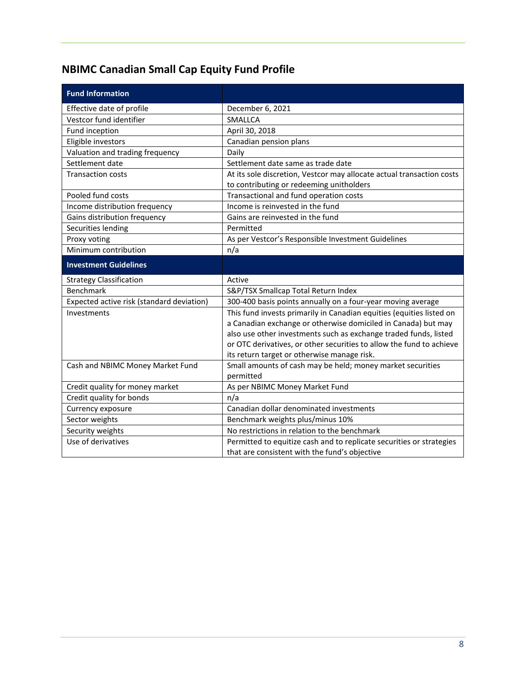# <span id="page-9-0"></span>**NBIMC Canadian Small Cap Equity Fund Profile**

| <b>Fund Information</b>                   |                                                                                                                       |
|-------------------------------------------|-----------------------------------------------------------------------------------------------------------------------|
| Effective date of profile                 | December 6, 2021                                                                                                      |
| Vestcor fund identifier                   | <b>SMALLCA</b>                                                                                                        |
| Fund inception                            | April 30, 2018                                                                                                        |
| Eligible investors                        | Canadian pension plans                                                                                                |
| Valuation and trading frequency           | Daily                                                                                                                 |
| Settlement date                           | Settlement date same as trade date                                                                                    |
| <b>Transaction costs</b>                  | At its sole discretion, Vestcor may allocate actual transaction costs                                                 |
|                                           | to contributing or redeeming unitholders                                                                              |
| Pooled fund costs                         | Transactional and fund operation costs                                                                                |
| Income distribution frequency             | Income is reinvested in the fund                                                                                      |
| Gains distribution frequency              | Gains are reinvested in the fund                                                                                      |
| Securities lending                        | Permitted                                                                                                             |
| Proxy voting                              | As per Vestcor's Responsible Investment Guidelines                                                                    |
| Minimum contribution                      | n/a                                                                                                                   |
| <b>Investment Guidelines</b>              |                                                                                                                       |
| <b>Strategy Classification</b>            | Active                                                                                                                |
| <b>Benchmark</b>                          | S&P/TSX Smallcap Total Return Index                                                                                   |
| Expected active risk (standard deviation) | 300-400 basis points annually on a four-year moving average                                                           |
| Investments                               | This fund invests primarily in Canadian equities (equities listed on                                                  |
|                                           | a Canadian exchange or otherwise domiciled in Canada) but may                                                         |
|                                           | also use other investments such as exchange traded funds, listed                                                      |
|                                           | or OTC derivatives, or other securities to allow the fund to achieve                                                  |
|                                           | its return target or otherwise manage risk.                                                                           |
| Cash and NBIMC Money Market Fund          |                                                                                                                       |
|                                           | Small amounts of cash may be held; money market securities                                                            |
|                                           | permitted                                                                                                             |
| Credit quality for money market           | As per NBIMC Money Market Fund                                                                                        |
| Credit quality for bonds                  | n/a                                                                                                                   |
| Currency exposure                         | Canadian dollar denominated investments                                                                               |
| Sector weights                            | Benchmark weights plus/minus 10%                                                                                      |
| Security weights                          | No restrictions in relation to the benchmark                                                                          |
| Use of derivatives                        | Permitted to equitize cash and to replicate securities or strategies<br>that are consistent with the fund's objective |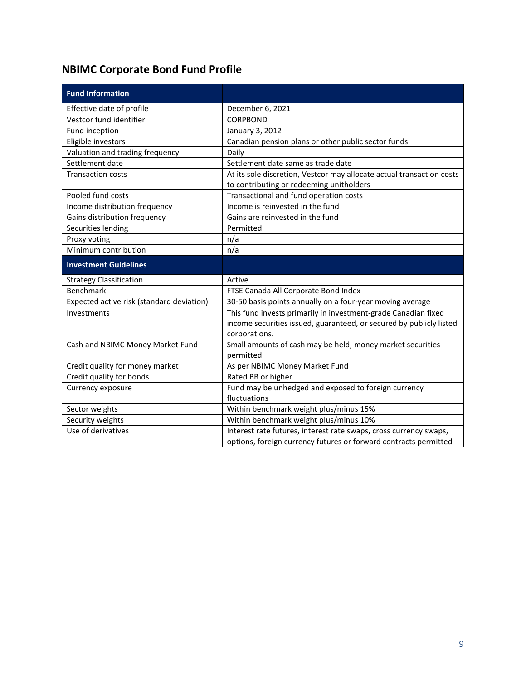## <span id="page-10-0"></span>**NBIMC Corporate Bond Fund Profile**

| <b>Fund Information</b>                   |                                                                                                                                       |
|-------------------------------------------|---------------------------------------------------------------------------------------------------------------------------------------|
| Effective date of profile                 | December 6, 2021                                                                                                                      |
| Vestcor fund identifier                   | <b>CORPBOND</b>                                                                                                                       |
| Fund inception                            | January 3, 2012                                                                                                                       |
| Eligible investors                        | Canadian pension plans or other public sector funds                                                                                   |
| Valuation and trading frequency           | Daily                                                                                                                                 |
| Settlement date                           | Settlement date same as trade date                                                                                                    |
| <b>Transaction costs</b>                  | At its sole discretion, Vestcor may allocate actual transaction costs                                                                 |
|                                           | to contributing or redeeming unitholders                                                                                              |
| Pooled fund costs                         | Transactional and fund operation costs                                                                                                |
| Income distribution frequency             | Income is reinvested in the fund                                                                                                      |
| Gains distribution frequency              | Gains are reinvested in the fund                                                                                                      |
| Securities lending                        | Permitted                                                                                                                             |
| Proxy voting                              | n/a                                                                                                                                   |
| Minimum contribution                      | n/a                                                                                                                                   |
| <b>Investment Guidelines</b>              |                                                                                                                                       |
| <b>Strategy Classification</b>            | Active                                                                                                                                |
| <b>Benchmark</b>                          | FTSE Canada All Corporate Bond Index                                                                                                  |
| Expected active risk (standard deviation) | 30-50 basis points annually on a four-year moving average                                                                             |
| Investments                               | This fund invests primarily in investment-grade Canadian fixed                                                                        |
|                                           | income securities issued, guaranteed, or secured by publicly listed                                                                   |
|                                           | corporations.                                                                                                                         |
| Cash and NBIMC Money Market Fund          | Small amounts of cash may be held; money market securities                                                                            |
|                                           | permitted                                                                                                                             |
| Credit quality for money market           | As per NBIMC Money Market Fund                                                                                                        |
| Credit quality for bonds                  | Rated BB or higher                                                                                                                    |
| Currency exposure                         | Fund may be unhedged and exposed to foreign currency                                                                                  |
|                                           | fluctuations                                                                                                                          |
| Sector weights                            | Within benchmark weight plus/minus 15%                                                                                                |
| Security weights                          | Within benchmark weight plus/minus 10%                                                                                                |
| Use of derivatives                        |                                                                                                                                       |
|                                           | Interest rate futures, interest rate swaps, cross currency swaps,<br>options, foreign currency futures or forward contracts permitted |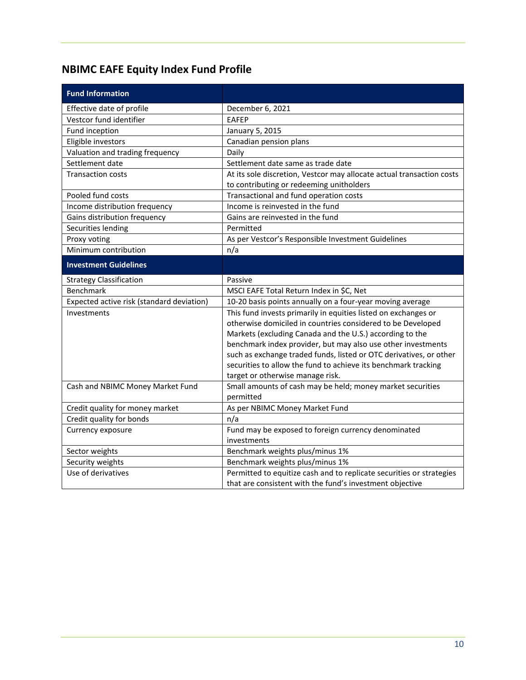## <span id="page-11-0"></span>**NBIMC EAFE Equity Index Fund Profile**

| <b>Fund Information</b>                   |                                                                       |
|-------------------------------------------|-----------------------------------------------------------------------|
| Effective date of profile                 | December 6, 2021                                                      |
| Vestcor fund identifier                   | <b>EAFEP</b>                                                          |
| Fund inception                            | January 5, 2015                                                       |
| Eligible investors                        | Canadian pension plans                                                |
| Valuation and trading frequency           | Daily                                                                 |
| Settlement date                           | Settlement date same as trade date                                    |
| <b>Transaction costs</b>                  | At its sole discretion, Vestcor may allocate actual transaction costs |
|                                           | to contributing or redeeming unitholders                              |
| Pooled fund costs                         | Transactional and fund operation costs                                |
| Income distribution frequency             | Income is reinvested in the fund                                      |
| Gains distribution frequency              | Gains are reinvested in the fund                                      |
| Securities lending                        | Permitted                                                             |
| Proxy voting                              | As per Vestcor's Responsible Investment Guidelines                    |
| Minimum contribution                      | n/a                                                                   |
| <b>Investment Guidelines</b>              |                                                                       |
| <b>Strategy Classification</b>            | Passive                                                               |
| Benchmark                                 | MSCI EAFE Total Return Index in \$C, Net                              |
| Expected active risk (standard deviation) | 10-20 basis points annually on a four-year moving average             |
| Investments                               | This fund invests primarily in equities listed on exchanges or        |
|                                           | otherwise domiciled in countries considered to be Developed           |
|                                           | Markets (excluding Canada and the U.S.) according to the              |
|                                           | benchmark index provider, but may also use other investments          |
|                                           | such as exchange traded funds, listed or OTC derivatives, or other    |
|                                           | securities to allow the fund to achieve its benchmark tracking        |
|                                           | target or otherwise manage risk.                                      |
| Cash and NBIMC Money Market Fund          | Small amounts of cash may be held; money market securities            |
|                                           | permitted                                                             |
| Credit quality for money market           | As per NBIMC Money Market Fund                                        |
| Credit quality for bonds                  | n/a                                                                   |
| Currency exposure                         | Fund may be exposed to foreign currency denominated                   |
|                                           | investments                                                           |
| Sector weights                            | Benchmark weights plus/minus 1%                                       |
| Security weights                          | Benchmark weights plus/minus 1%                                       |
| Use of derivatives                        | Permitted to equitize cash and to replicate securities or strategies  |
|                                           | that are consistent with the fund's investment objective              |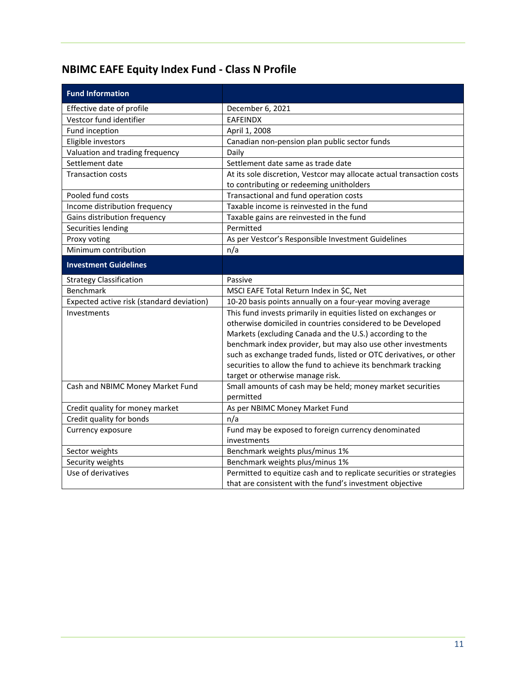## <span id="page-12-0"></span>**NBIMC EAFE Equity Index Fund - Class N Profile**

| <b>Fund Information</b>                   |                                                                       |
|-------------------------------------------|-----------------------------------------------------------------------|
| Effective date of profile                 | December 6, 2021                                                      |
| Vestcor fund identifier                   | <b>EAFEINDX</b>                                                       |
| Fund inception                            | April 1, 2008                                                         |
| Eligible investors                        | Canadian non-pension plan public sector funds                         |
| Valuation and trading frequency           | Daily                                                                 |
| Settlement date                           | Settlement date same as trade date                                    |
| <b>Transaction costs</b>                  | At its sole discretion, Vestcor may allocate actual transaction costs |
|                                           | to contributing or redeeming unitholders                              |
| Pooled fund costs                         | Transactional and fund operation costs                                |
| Income distribution frequency             | Taxable income is reinvested in the fund                              |
| Gains distribution frequency              | Taxable gains are reinvested in the fund                              |
| Securities lending                        | Permitted                                                             |
| Proxy voting                              | As per Vestcor's Responsible Investment Guidelines                    |
| Minimum contribution                      | n/a                                                                   |
| <b>Investment Guidelines</b>              |                                                                       |
| <b>Strategy Classification</b>            | Passive                                                               |
| <b>Benchmark</b>                          | MSCI EAFE Total Return Index in \$C, Net                              |
| Expected active risk (standard deviation) | 10-20 basis points annually on a four-year moving average             |
| Investments                               | This fund invests primarily in equities listed on exchanges or        |
|                                           | otherwise domiciled in countries considered to be Developed           |
|                                           | Markets (excluding Canada and the U.S.) according to the              |
|                                           | benchmark index provider, but may also use other investments          |
|                                           | such as exchange traded funds, listed or OTC derivatives, or other    |
|                                           | securities to allow the fund to achieve its benchmark tracking        |
|                                           | target or otherwise manage risk.                                      |
| Cash and NBIMC Money Market Fund          | Small amounts of cash may be held; money market securities            |
|                                           | permitted                                                             |
| Credit quality for money market           | As per NBIMC Money Market Fund                                        |
| Credit quality for bonds                  | n/a                                                                   |
| Currency exposure                         | Fund may be exposed to foreign currency denominated<br>investments    |
| Sector weights                            | Benchmark weights plus/minus 1%                                       |
| Security weights                          | Benchmark weights plus/minus 1%                                       |
| Use of derivatives                        | Permitted to equitize cash and to replicate securities or strategies  |
|                                           | that are consistent with the fund's investment objective              |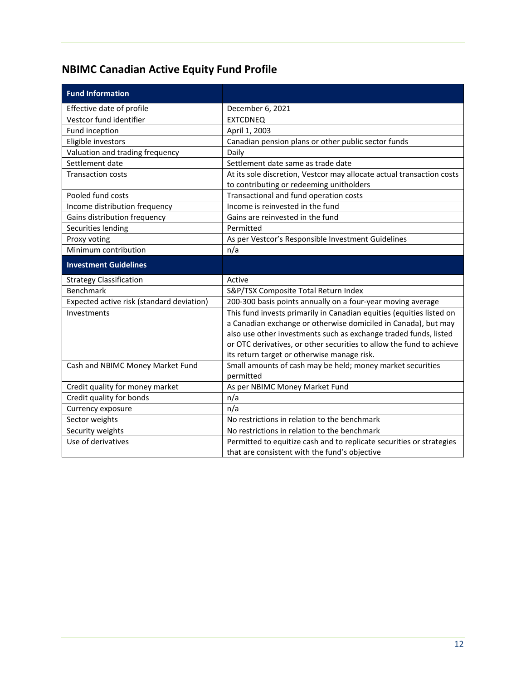## <span id="page-13-0"></span>**NBIMC Canadian Active Equity Fund Profile**

| <b>Fund Information</b>                   |                                                                                                                       |
|-------------------------------------------|-----------------------------------------------------------------------------------------------------------------------|
| Effective date of profile                 | December 6, 2021                                                                                                      |
| Vestcor fund identifier                   | <b>EXTCDNEQ</b>                                                                                                       |
| Fund inception                            | April 1, 2003                                                                                                         |
| Eligible investors                        | Canadian pension plans or other public sector funds                                                                   |
| Valuation and trading frequency           | Daily                                                                                                                 |
| Settlement date                           | Settlement date same as trade date                                                                                    |
| <b>Transaction costs</b>                  | At its sole discretion, Vestcor may allocate actual transaction costs                                                 |
|                                           | to contributing or redeeming unitholders                                                                              |
| Pooled fund costs                         | Transactional and fund operation costs                                                                                |
| Income distribution frequency             | Income is reinvested in the fund                                                                                      |
| Gains distribution frequency              | Gains are reinvested in the fund                                                                                      |
| Securities lending                        | Permitted                                                                                                             |
| Proxy voting                              | As per Vestcor's Responsible Investment Guidelines                                                                    |
| Minimum contribution                      | n/a                                                                                                                   |
| <b>Investment Guidelines</b>              |                                                                                                                       |
| <b>Strategy Classification</b>            | Active                                                                                                                |
| <b>Benchmark</b>                          | S&P/TSX Composite Total Return Index                                                                                  |
|                                           |                                                                                                                       |
| Expected active risk (standard deviation) | 200-300 basis points annually on a four-year moving average                                                           |
| Investments                               | This fund invests primarily in Canadian equities (equities listed on                                                  |
|                                           | a Canadian exchange or otherwise domiciled in Canada), but may                                                        |
|                                           | also use other investments such as exchange traded funds, listed                                                      |
|                                           | or OTC derivatives, or other securities to allow the fund to achieve                                                  |
|                                           | its return target or otherwise manage risk.                                                                           |
| Cash and NBIMC Money Market Fund          | Small amounts of cash may be held; money market securities                                                            |
|                                           | permitted                                                                                                             |
| Credit quality for money market           | As per NBIMC Money Market Fund                                                                                        |
| Credit quality for bonds                  | n/a                                                                                                                   |
| Currency exposure                         | n/a                                                                                                                   |
| Sector weights                            | No restrictions in relation to the benchmark                                                                          |
| Security weights                          | No restrictions in relation to the benchmark                                                                          |
| Use of derivatives                        | Permitted to equitize cash and to replicate securities or strategies<br>that are consistent with the fund's objective |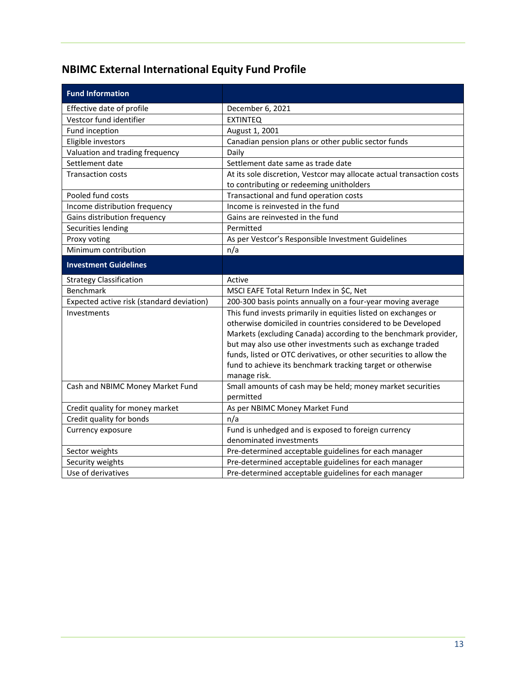## <span id="page-14-0"></span>**NBIMC External International Equity Fund Profile**

| <b>Fund Information</b>                   |                                                                       |
|-------------------------------------------|-----------------------------------------------------------------------|
| Effective date of profile                 | December 6, 2021                                                      |
| Vestcor fund identifier                   | <b>EXTINTEQ</b>                                                       |
| Fund inception                            | August 1, 2001                                                        |
| Eligible investors                        | Canadian pension plans or other public sector funds                   |
| Valuation and trading frequency           | Daily                                                                 |
| Settlement date                           | Settlement date same as trade date                                    |
| <b>Transaction costs</b>                  | At its sole discretion, Vestcor may allocate actual transaction costs |
|                                           | to contributing or redeeming unitholders                              |
| Pooled fund costs                         | Transactional and fund operation costs                                |
| Income distribution frequency             | Income is reinvested in the fund                                      |
| Gains distribution frequency              | Gains are reinvested in the fund                                      |
| Securities lending                        | Permitted                                                             |
| Proxy voting                              | As per Vestcor's Responsible Investment Guidelines                    |
| Minimum contribution                      | n/a                                                                   |
| <b>Investment Guidelines</b>              |                                                                       |
| <b>Strategy Classification</b>            | Active                                                                |
| Benchmark                                 | MSCI EAFE Total Return Index in \$C, Net                              |
| Expected active risk (standard deviation) | 200-300 basis points annually on a four-year moving average           |
| Investments                               | This fund invests primarily in equities listed on exchanges or        |
|                                           | otherwise domiciled in countries considered to be Developed           |
|                                           | Markets (excluding Canada) according to the benchmark provider,       |
|                                           | but may also use other investments such as exchange traded            |
|                                           | funds, listed or OTC derivatives, or other securities to allow the    |
|                                           | fund to achieve its benchmark tracking target or otherwise            |
|                                           | manage risk.                                                          |
| Cash and NBIMC Money Market Fund          | Small amounts of cash may be held; money market securities            |
|                                           | permitted                                                             |
| Credit quality for money market           | As per NBIMC Money Market Fund                                        |
| Credit quality for bonds                  | n/a                                                                   |
| Currency exposure                         | Fund is unhedged and is exposed to foreign currency                   |
|                                           | denominated investments                                               |
| Sector weights                            | Pre-determined acceptable guidelines for each manager                 |
| Security weights                          | Pre-determined acceptable guidelines for each manager                 |
| Use of derivatives                        | Pre-determined acceptable guidelines for each manager                 |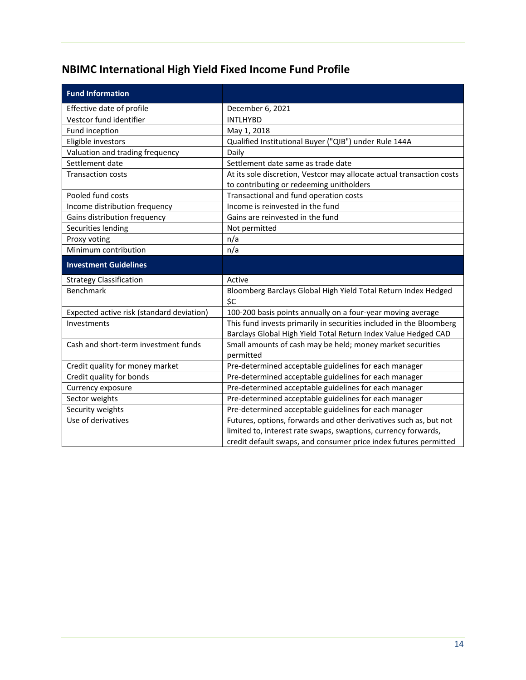## <span id="page-15-0"></span>**NBIMC International High Yield Fixed Income Fund Profile**

| <b>Fund Information</b>                   |                                                                                                                                           |
|-------------------------------------------|-------------------------------------------------------------------------------------------------------------------------------------------|
| Effective date of profile                 | December 6, 2021                                                                                                                          |
| Vestcor fund identifier                   | <b>INTLHYBD</b>                                                                                                                           |
| Fund inception                            | May 1, 2018                                                                                                                               |
| Eligible investors                        | Qualified Institutional Buyer ("QIB") under Rule 144A                                                                                     |
| Valuation and trading frequency           | Daily                                                                                                                                     |
| Settlement date                           | Settlement date same as trade date                                                                                                        |
| <b>Transaction costs</b>                  | At its sole discretion, Vestcor may allocate actual transaction costs                                                                     |
|                                           | to contributing or redeeming unitholders                                                                                                  |
| Pooled fund costs                         | Transactional and fund operation costs                                                                                                    |
| Income distribution frequency             | Income is reinvested in the fund                                                                                                          |
| Gains distribution frequency              | Gains are reinvested in the fund                                                                                                          |
| Securities lending                        | Not permitted                                                                                                                             |
| Proxy voting                              | n/a                                                                                                                                       |
| Minimum contribution                      | n/a                                                                                                                                       |
| <b>Investment Guidelines</b>              |                                                                                                                                           |
|                                           |                                                                                                                                           |
| <b>Strategy Classification</b>            | Active                                                                                                                                    |
| <b>Benchmark</b>                          | Bloomberg Barclays Global High Yield Total Return Index Hedged<br>\$C                                                                     |
| Expected active risk (standard deviation) | 100-200 basis points annually on a four-year moving average                                                                               |
| Investments                               | This fund invests primarily in securities included in the Bloomberg                                                                       |
| Cash and short-term investment funds      | Barclays Global High Yield Total Return Index Value Hedged CAD<br>Small amounts of cash may be held; money market securities<br>permitted |
| Credit quality for money market           | Pre-determined acceptable guidelines for each manager                                                                                     |
| Credit quality for bonds                  | Pre-determined acceptable guidelines for each manager                                                                                     |
| Currency exposure                         | Pre-determined acceptable guidelines for each manager                                                                                     |
| Sector weights                            | Pre-determined acceptable guidelines for each manager                                                                                     |
| Security weights                          | Pre-determined acceptable guidelines for each manager                                                                                     |
| Use of derivatives                        | Futures, options, forwards and other derivatives such as, but not                                                                         |
|                                           | limited to, interest rate swaps, swaptions, currency forwards,                                                                            |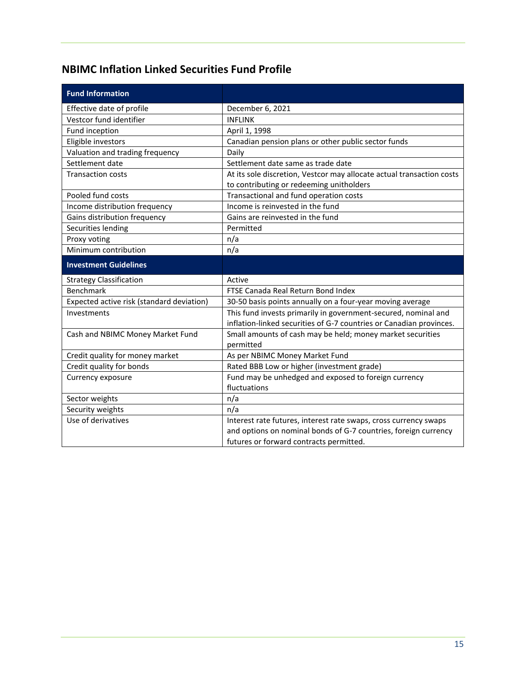## <span id="page-16-0"></span>**NBIMC Inflation Linked Securities Fund Profile**

| <b>Fund Information</b>                   |                                                                                                                                       |
|-------------------------------------------|---------------------------------------------------------------------------------------------------------------------------------------|
| Effective date of profile                 | December 6, 2021                                                                                                                      |
| Vestcor fund identifier                   | <b>INFLINK</b>                                                                                                                        |
| Fund inception                            | April 1, 1998                                                                                                                         |
| Eligible investors                        | Canadian pension plans or other public sector funds                                                                                   |
| Valuation and trading frequency           | Daily                                                                                                                                 |
| Settlement date                           | Settlement date same as trade date                                                                                                    |
| <b>Transaction costs</b>                  | At its sole discretion, Vestcor may allocate actual transaction costs                                                                 |
|                                           | to contributing or redeeming unitholders                                                                                              |
| Pooled fund costs                         | Transactional and fund operation costs                                                                                                |
| Income distribution frequency             | Income is reinvested in the fund                                                                                                      |
| Gains distribution frequency              | Gains are reinvested in the fund                                                                                                      |
| Securities lending                        | Permitted                                                                                                                             |
| Proxy voting<br>Minimum contribution      | n/a                                                                                                                                   |
|                                           | n/a                                                                                                                                   |
| <b>Investment Guidelines</b>              |                                                                                                                                       |
| <b>Strategy Classification</b>            | Active                                                                                                                                |
| <b>Benchmark</b>                          | FTSE Canada Real Return Bond Index                                                                                                    |
| Expected active risk (standard deviation) | 30-50 basis points annually on a four-year moving average                                                                             |
| Investments                               | This fund invests primarily in government-secured, nominal and<br>inflation-linked securities of G-7 countries or Canadian provinces. |
| Cash and NBIMC Money Market Fund          | Small amounts of cash may be held; money market securities<br>permitted                                                               |
| Credit quality for money market           | As per NBIMC Money Market Fund                                                                                                        |
| Credit quality for bonds                  | Rated BBB Low or higher (investment grade)                                                                                            |
| Currency exposure                         | Fund may be unhedged and exposed to foreign currency                                                                                  |
|                                           | fluctuations                                                                                                                          |
| Sector weights                            | n/a                                                                                                                                   |
| Security weights                          | n/a                                                                                                                                   |
| Use of derivatives                        | Interest rate futures, interest rate swaps, cross currency swaps                                                                      |
|                                           | and options on nominal bonds of G-7 countries, foreign currency                                                                       |
|                                           | futures or forward contracts permitted.                                                                                               |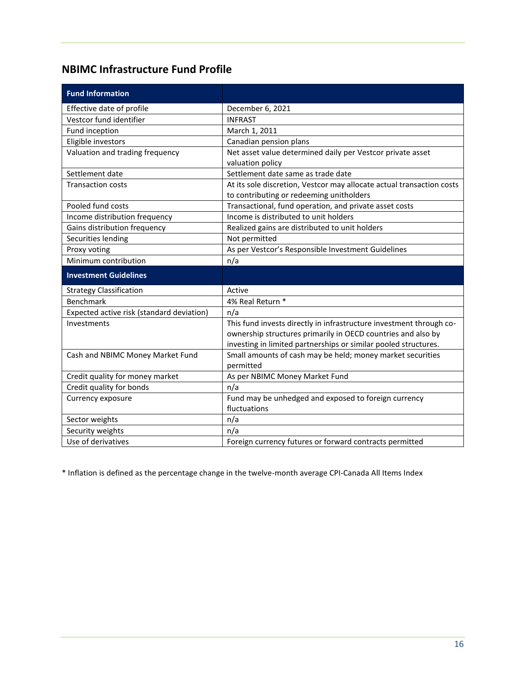## <span id="page-17-0"></span>**NBIMC Infrastructure Fund Profile**

| <b>Fund Information</b>                   |                                                                                                                                                                                                        |
|-------------------------------------------|--------------------------------------------------------------------------------------------------------------------------------------------------------------------------------------------------------|
| Effective date of profile                 | December 6, 2021                                                                                                                                                                                       |
| Vestcor fund identifier                   | <b>INFRAST</b>                                                                                                                                                                                         |
| Fund inception                            | March 1, 2011                                                                                                                                                                                          |
| Eligible investors                        | Canadian pension plans                                                                                                                                                                                 |
| Valuation and trading frequency           | Net asset value determined daily per Vestcor private asset<br>valuation policy                                                                                                                         |
| Settlement date                           | Settlement date same as trade date                                                                                                                                                                     |
| <b>Transaction costs</b>                  | At its sole discretion, Vestcor may allocate actual transaction costs<br>to contributing or redeeming unitholders                                                                                      |
| Pooled fund costs                         | Transactional, fund operation, and private asset costs                                                                                                                                                 |
| Income distribution frequency             | Income is distributed to unit holders                                                                                                                                                                  |
| Gains distribution frequency              | Realized gains are distributed to unit holders                                                                                                                                                         |
| Securities lending                        | Not permitted                                                                                                                                                                                          |
| Proxy voting                              | As per Vestcor's Responsible Investment Guidelines                                                                                                                                                     |
| Minimum contribution                      | n/a                                                                                                                                                                                                    |
| <b>Investment Guidelines</b>              |                                                                                                                                                                                                        |
| <b>Strategy Classification</b>            | Active                                                                                                                                                                                                 |
| Benchmark                                 | 4% Real Return *                                                                                                                                                                                       |
|                                           |                                                                                                                                                                                                        |
| Expected active risk (standard deviation) | n/a                                                                                                                                                                                                    |
| Investments                               | This fund invests directly in infrastructure investment through co-<br>ownership structures primarily in OECD countries and also by<br>investing in limited partnerships or similar pooled structures. |
| Cash and NBIMC Money Market Fund          | Small amounts of cash may be held; money market securities<br>permitted                                                                                                                                |
| Credit quality for money market           | As per NBIMC Money Market Fund                                                                                                                                                                         |
| Credit quality for bonds                  | n/a                                                                                                                                                                                                    |
| Currency exposure                         | Fund may be unhedged and exposed to foreign currency<br>fluctuations                                                                                                                                   |
| Sector weights                            | n/a                                                                                                                                                                                                    |
| Security weights                          | n/a                                                                                                                                                                                                    |

\* Inflation is defined as the percentage change in the twelve-month average CPI-Canada All Items Index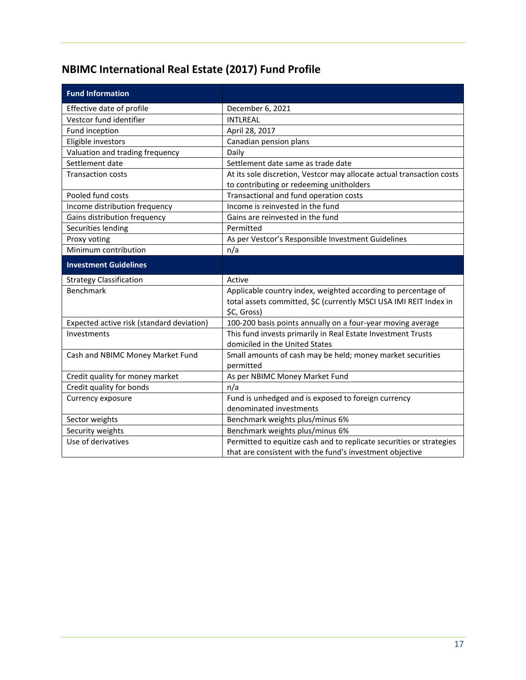## <span id="page-18-0"></span>**NBIMC International Real Estate (2017) Fund Profile**

| <b>Fund Information</b>                   |                                                                                                                                  |
|-------------------------------------------|----------------------------------------------------------------------------------------------------------------------------------|
| Effective date of profile                 | December 6, 2021                                                                                                                 |
| Vestcor fund identifier                   | <b>INTLREAL</b>                                                                                                                  |
| Fund inception                            | April 28, 2017                                                                                                                   |
| Eligible investors                        | Canadian pension plans                                                                                                           |
| Valuation and trading frequency           | Daily                                                                                                                            |
| Settlement date                           | Settlement date same as trade date                                                                                               |
| <b>Transaction costs</b>                  | At its sole discretion, Vestcor may allocate actual transaction costs                                                            |
|                                           | to contributing or redeeming unitholders                                                                                         |
| Pooled fund costs                         | Transactional and fund operation costs                                                                                           |
| Income distribution frequency             | Income is reinvested in the fund                                                                                                 |
| Gains distribution frequency              | Gains are reinvested in the fund                                                                                                 |
| Securities lending                        | Permitted                                                                                                                        |
| Proxy voting                              | As per Vestcor's Responsible Investment Guidelines                                                                               |
| Minimum contribution                      | n/a                                                                                                                              |
| <b>Investment Guidelines</b>              |                                                                                                                                  |
| <b>Strategy Classification</b>            | Active                                                                                                                           |
| <b>Benchmark</b>                          | Applicable country index, weighted according to percentage of                                                                    |
|                                           |                                                                                                                                  |
|                                           | total assets committed, \$C (currently MSCI USA IMI REIT Index in                                                                |
|                                           | \$C, Gross)                                                                                                                      |
| Expected active risk (standard deviation) | 100-200 basis points annually on a four-year moving average                                                                      |
| Investments                               | This fund invests primarily in Real Estate Investment Trusts                                                                     |
|                                           | domiciled in the United States                                                                                                   |
| Cash and NBIMC Money Market Fund          | Small amounts of cash may be held; money market securities                                                                       |
|                                           | permitted                                                                                                                        |
| Credit quality for money market           | As per NBIMC Money Market Fund                                                                                                   |
| Credit quality for bonds                  | n/a                                                                                                                              |
| Currency exposure                         | Fund is unhedged and is exposed to foreign currency                                                                              |
|                                           | denominated investments                                                                                                          |
| Sector weights                            | Benchmark weights plus/minus 6%                                                                                                  |
| Security weights                          | Benchmark weights plus/minus 6%                                                                                                  |
| Use of derivatives                        | Permitted to equitize cash and to replicate securities or strategies<br>that are consistent with the fund's investment objective |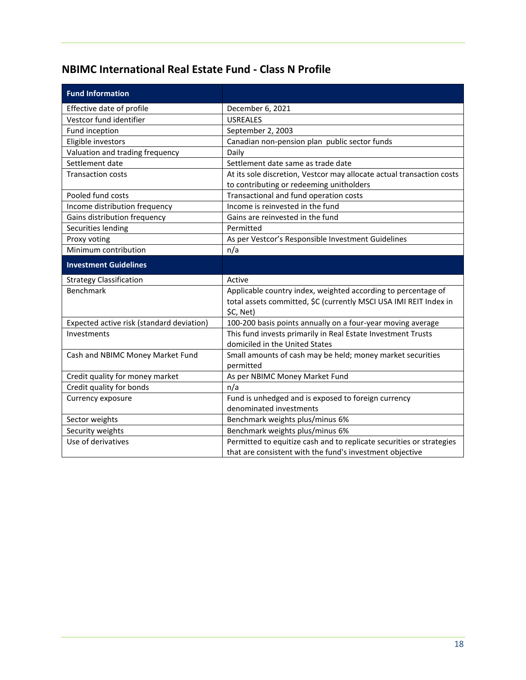### <span id="page-19-0"></span>**NBIMC International Real Estate Fund - Class N Profile**

| <b>Fund Information</b>                   |                                                                                                                                  |
|-------------------------------------------|----------------------------------------------------------------------------------------------------------------------------------|
| Effective date of profile                 | December 6, 2021                                                                                                                 |
| Vestcor fund identifier                   | <b>USREALES</b>                                                                                                                  |
| Fund inception                            | September 2, 2003                                                                                                                |
| Eligible investors                        | Canadian non-pension plan public sector funds                                                                                    |
| Valuation and trading frequency           | Daily                                                                                                                            |
| Settlement date                           | Settlement date same as trade date                                                                                               |
| <b>Transaction costs</b>                  | At its sole discretion, Vestcor may allocate actual transaction costs                                                            |
|                                           | to contributing or redeeming unitholders                                                                                         |
| Pooled fund costs                         | Transactional and fund operation costs                                                                                           |
| Income distribution frequency             | Income is reinvested in the fund                                                                                                 |
| Gains distribution frequency              | Gains are reinvested in the fund                                                                                                 |
| Securities lending                        | Permitted                                                                                                                        |
| Proxy voting                              | As per Vestcor's Responsible Investment Guidelines                                                                               |
| Minimum contribution                      | n/a                                                                                                                              |
| <b>Investment Guidelines</b>              |                                                                                                                                  |
|                                           |                                                                                                                                  |
| <b>Strategy Classification</b>            | Active                                                                                                                           |
| <b>Benchmark</b>                          | Applicable country index, weighted according to percentage of                                                                    |
|                                           | total assets committed, \$C (currently MSCI USA IMI REIT Index in                                                                |
|                                           | \$C, Net)                                                                                                                        |
| Expected active risk (standard deviation) | 100-200 basis points annually on a four-year moving average                                                                      |
| Investments                               | This fund invests primarily in Real Estate Investment Trusts                                                                     |
|                                           | domiciled in the United States                                                                                                   |
| Cash and NBIMC Money Market Fund          | Small amounts of cash may be held; money market securities                                                                       |
|                                           | permitted                                                                                                                        |
| Credit quality for money market           | As per NBIMC Money Market Fund                                                                                                   |
| Credit quality for bonds                  | n/a                                                                                                                              |
| Currency exposure                         | Fund is unhedged and is exposed to foreign currency                                                                              |
|                                           | denominated investments                                                                                                          |
| Sector weights                            | Benchmark weights plus/minus 6%                                                                                                  |
| Security weights                          | Benchmark weights plus/minus 6%                                                                                                  |
| Use of derivatives                        | Permitted to equitize cash and to replicate securities or strategies<br>that are consistent with the fund's investment objective |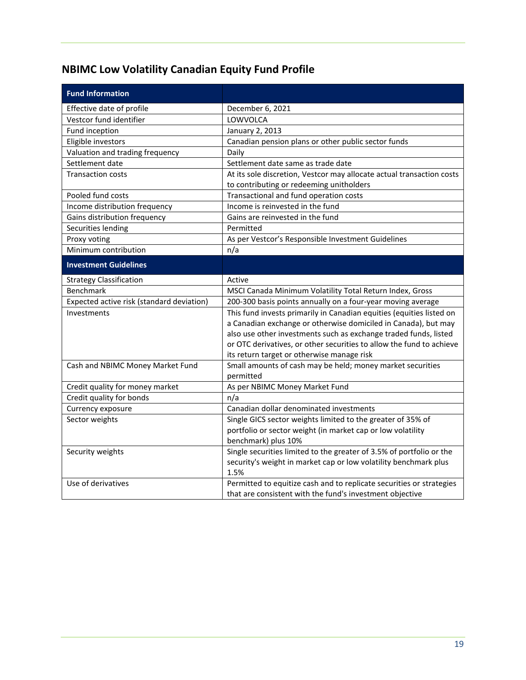## <span id="page-20-0"></span>**NBIMC Low Volatility Canadian Equity Fund Profile**

| <b>Fund Information</b>                   |                                                                          |
|-------------------------------------------|--------------------------------------------------------------------------|
| Effective date of profile                 | December 6, 2021                                                         |
| Vestcor fund identifier                   | LOWVOLCA                                                                 |
| Fund inception                            | January 2, 2013                                                          |
| Eligible investors                        | Canadian pension plans or other public sector funds                      |
| Valuation and trading frequency           | Daily                                                                    |
| Settlement date                           | Settlement date same as trade date                                       |
| <b>Transaction costs</b>                  | At its sole discretion, Vestcor may allocate actual transaction costs    |
|                                           | to contributing or redeeming unitholders                                 |
| Pooled fund costs                         | Transactional and fund operation costs                                   |
| Income distribution frequency             | Income is reinvested in the fund                                         |
| Gains distribution frequency              | Gains are reinvested in the fund                                         |
| Securities lending                        | Permitted                                                                |
| Proxy voting                              | As per Vestcor's Responsible Investment Guidelines                       |
| Minimum contribution                      | n/a                                                                      |
| <b>Investment Guidelines</b>              |                                                                          |
| <b>Strategy Classification</b>            | Active                                                                   |
| <b>Benchmark</b>                          | MSCI Canada Minimum Volatility Total Return Index, Gross                 |
| Expected active risk (standard deviation) | 200-300 basis points annually on a four-year moving average              |
| Investments                               | This fund invests primarily in Canadian equities (equities listed on     |
|                                           | a Canadian exchange or otherwise domiciled in Canada), but may           |
|                                           | also use other investments such as exchange traded funds, listed         |
|                                           | or OTC derivatives, or other securities to allow the fund to achieve     |
|                                           | its return target or otherwise manage risk                               |
| Cash and NBIMC Money Market Fund          | Small amounts of cash may be held; money market securities               |
|                                           | permitted                                                                |
| Credit quality for money market           | As per NBIMC Money Market Fund                                           |
| Credit quality for bonds                  | n/a                                                                      |
| Currency exposure                         | Canadian dollar denominated investments                                  |
| Sector weights                            | Single GICS sector weights limited to the greater of 35% of              |
|                                           | portfolio or sector weight (in market cap or low volatility              |
|                                           | benchmark) plus 10%                                                      |
| Security weights                          | Single securities limited to the greater of 3.5% of portfolio or the     |
|                                           | security's weight in market cap or low volatility benchmark plus<br>1.5% |
| Use of derivatives                        | Permitted to equitize cash and to replicate securities or strategies     |
|                                           | that are consistent with the fund's investment objective                 |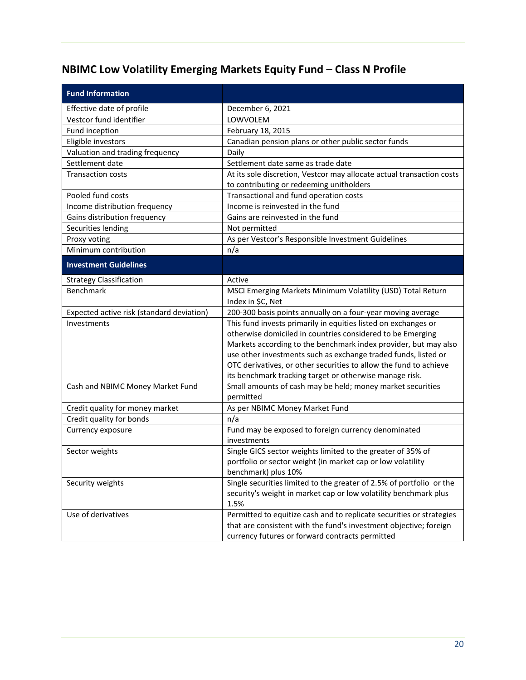# <span id="page-21-0"></span>**NBIMC Low Volatility Emerging Markets Equity Fund – Class N Profile**

| <b>Fund Information</b>                   |                                                                          |
|-------------------------------------------|--------------------------------------------------------------------------|
| Effective date of profile                 | December 6, 2021                                                         |
| Vestcor fund identifier                   | LOWVOLEM                                                                 |
| Fund inception                            | February 18, 2015                                                        |
| Eligible investors                        | Canadian pension plans or other public sector funds                      |
| Valuation and trading frequency           | Daily                                                                    |
| Settlement date                           | Settlement date same as trade date                                       |
| <b>Transaction costs</b>                  | At its sole discretion, Vestcor may allocate actual transaction costs    |
|                                           | to contributing or redeeming unitholders                                 |
| Pooled fund costs                         | Transactional and fund operation costs                                   |
| Income distribution frequency             | Income is reinvested in the fund                                         |
| Gains distribution frequency              | Gains are reinvested in the fund                                         |
| Securities lending                        | Not permitted                                                            |
| Proxy voting                              | As per Vestcor's Responsible Investment Guidelines                       |
| Minimum contribution                      | n/a                                                                      |
| <b>Investment Guidelines</b>              |                                                                          |
| <b>Strategy Classification</b>            | Active                                                                   |
| Benchmark                                 | MSCI Emerging Markets Minimum Volatility (USD) Total Return              |
|                                           | Index in \$C, Net                                                        |
| Expected active risk (standard deviation) | 200-300 basis points annually on a four-year moving average              |
| Investments                               | This fund invests primarily in equities listed on exchanges or           |
|                                           | otherwise domiciled in countries considered to be Emerging               |
|                                           | Markets according to the benchmark index provider, but may also          |
|                                           | use other investments such as exchange traded funds, listed or           |
|                                           | OTC derivatives, or other securities to allow the fund to achieve        |
|                                           | its benchmark tracking target or otherwise manage risk.                  |
| Cash and NBIMC Money Market Fund          | Small amounts of cash may be held; money market securities               |
|                                           | permitted                                                                |
| Credit quality for money market           | As per NBIMC Money Market Fund                                           |
| Credit quality for bonds                  | n/a                                                                      |
| Currency exposure                         | Fund may be exposed to foreign currency denominated                      |
|                                           | investments                                                              |
| Sector weights                            | Single GICS sector weights limited to the greater of 35% of              |
|                                           | portfolio or sector weight (in market cap or low volatility              |
|                                           | benchmark) plus 10%                                                      |
| Security weights                          | Single securities limited to the greater of 2.5% of portfolio or the     |
|                                           | security's weight in market cap or low volatility benchmark plus<br>1.5% |
| Use of derivatives                        | Permitted to equitize cash and to replicate securities or strategies     |
|                                           | that are consistent with the fund's investment objective; foreign        |
|                                           | currency futures or forward contracts permitted                          |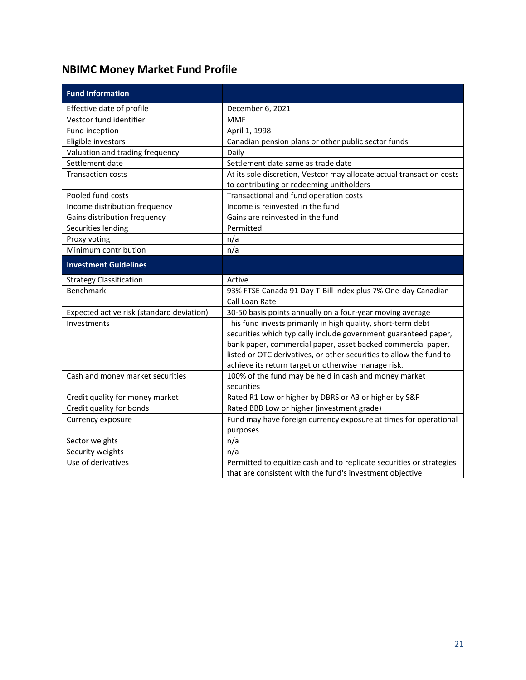## <span id="page-22-0"></span>**NBIMC Money Market Fund Profile**

| <b>Fund Information</b>                   |                                                                              |
|-------------------------------------------|------------------------------------------------------------------------------|
| Effective date of profile                 | December 6, 2021                                                             |
| Vestcor fund identifier                   | <b>MMF</b>                                                                   |
| Fund inception                            | April 1, 1998                                                                |
| Eligible investors                        | Canadian pension plans or other public sector funds                          |
| Valuation and trading frequency           | Daily                                                                        |
| Settlement date                           | Settlement date same as trade date                                           |
| <b>Transaction costs</b>                  | At its sole discretion, Vestcor may allocate actual transaction costs        |
|                                           | to contributing or redeeming unitholders                                     |
| Pooled fund costs                         | Transactional and fund operation costs                                       |
| Income distribution frequency             | Income is reinvested in the fund                                             |
| Gains distribution frequency              | Gains are reinvested in the fund                                             |
| Securities lending                        | Permitted                                                                    |
| Proxy voting                              | n/a                                                                          |
| Minimum contribution                      | n/a                                                                          |
| <b>Investment Guidelines</b>              |                                                                              |
| <b>Strategy Classification</b>            | Active                                                                       |
| Benchmark                                 | 93% FTSE Canada 91 Day T-Bill Index plus 7% One-day Canadian                 |
|                                           | Call Loan Rate                                                               |
| Expected active risk (standard deviation) | 30-50 basis points annually on a four-year moving average                    |
| Investments                               | This fund invests primarily in high quality, short-term debt                 |
|                                           | securities which typically include government guaranteed paper,              |
|                                           | bank paper, commercial paper, asset backed commercial paper,                 |
|                                           | listed or OTC derivatives, or other securities to allow the fund to          |
|                                           | achieve its return target or otherwise manage risk.                          |
| Cash and money market securities          | 100% of the fund may be held in cash and money market                        |
|                                           | securities                                                                   |
| Credit quality for money market           | Rated R1 Low or higher by DBRS or A3 or higher by S&P                        |
| Credit quality for bonds                  | Rated BBB Low or higher (investment grade)                                   |
| Currency exposure                         | Fund may have foreign currency exposure at times for operational<br>purposes |
| Sector weights                            | n/a                                                                          |
| Security weights                          | n/a                                                                          |
| Use of derivatives                        | Permitted to equitize cash and to replicate securities or strategies         |
|                                           | that are consistent with the fund's investment objective                     |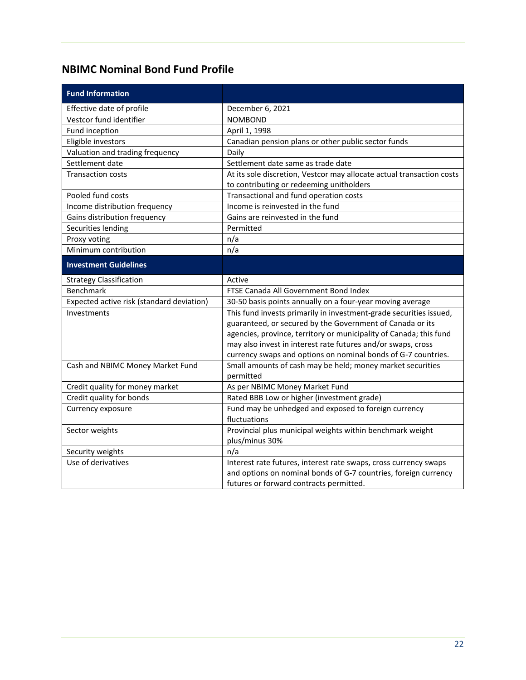### <span id="page-23-0"></span>**NBIMC Nominal Bond Fund Profile**

| <b>Fund Information</b>                   |                                                                       |
|-------------------------------------------|-----------------------------------------------------------------------|
| Effective date of profile                 | December 6, 2021                                                      |
| Vestcor fund identifier                   | <b>NOMBOND</b>                                                        |
| Fund inception                            | April 1, 1998                                                         |
| Eligible investors                        | Canadian pension plans or other public sector funds                   |
| Valuation and trading frequency           | Daily                                                                 |
| Settlement date                           | Settlement date same as trade date                                    |
| <b>Transaction costs</b>                  | At its sole discretion, Vestcor may allocate actual transaction costs |
|                                           | to contributing or redeeming unitholders                              |
| Pooled fund costs                         | Transactional and fund operation costs                                |
| Income distribution frequency             | Income is reinvested in the fund                                      |
| Gains distribution frequency              | Gains are reinvested in the fund                                      |
| Securities lending                        | Permitted                                                             |
| Proxy voting                              | n/a                                                                   |
| Minimum contribution                      | n/a                                                                   |
| <b>Investment Guidelines</b>              |                                                                       |
| <b>Strategy Classification</b>            | Active                                                                |
| Benchmark                                 | FTSE Canada All Government Bond Index                                 |
| Expected active risk (standard deviation) | 30-50 basis points annually on a four-year moving average             |
| Investments                               | This fund invests primarily in investment-grade securities issued,    |
|                                           | guaranteed, or secured by the Government of Canada or its             |
|                                           | agencies, province, territory or municipality of Canada; this fund    |
|                                           | may also invest in interest rate futures and/or swaps, cross          |
|                                           | currency swaps and options on nominal bonds of G-7 countries.         |
| Cash and NBIMC Money Market Fund          | Small amounts of cash may be held; money market securities            |
|                                           | permitted                                                             |
| Credit quality for money market           | As per NBIMC Money Market Fund                                        |
| Credit quality for bonds                  | Rated BBB Low or higher (investment grade)                            |
| Currency exposure                         | Fund may be unhedged and exposed to foreign currency                  |
|                                           | fluctuations                                                          |
| Sector weights                            | Provincial plus municipal weights within benchmark weight             |
|                                           | plus/minus 30%                                                        |
| Security weights                          | n/a                                                                   |
| Use of derivatives                        | Interest rate futures, interest rate swaps, cross currency swaps      |
|                                           | and options on nominal bonds of G-7 countries, foreign currency       |
|                                           | futures or forward contracts permitted.                               |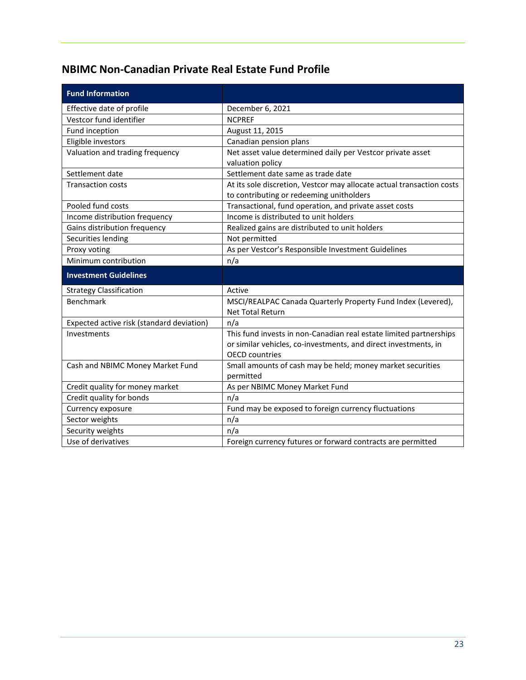### <span id="page-24-0"></span>**NBIMC Non-Canadian Private Real Estate Fund Profile**

| <b>Fund Information</b>                   |                                                                                                                                                                |
|-------------------------------------------|----------------------------------------------------------------------------------------------------------------------------------------------------------------|
| Effective date of profile                 | December 6, 2021                                                                                                                                               |
| Vestcor fund identifier                   | <b>NCPREF</b>                                                                                                                                                  |
| Fund inception                            | August 11, 2015                                                                                                                                                |
| Eligible investors                        | Canadian pension plans                                                                                                                                         |
| Valuation and trading frequency           | Net asset value determined daily per Vestcor private asset<br>valuation policy                                                                                 |
| Settlement date                           | Settlement date same as trade date                                                                                                                             |
| <b>Transaction costs</b>                  | At its sole discretion, Vestcor may allocate actual transaction costs<br>to contributing or redeeming unitholders                                              |
| Pooled fund costs                         | Transactional, fund operation, and private asset costs                                                                                                         |
| Income distribution frequency             | Income is distributed to unit holders                                                                                                                          |
| Gains distribution frequency              | Realized gains are distributed to unit holders                                                                                                                 |
| Securities lending                        | Not permitted                                                                                                                                                  |
| Proxy voting                              | As per Vestcor's Responsible Investment Guidelines                                                                                                             |
| Minimum contribution                      | n/a                                                                                                                                                            |
|                                           |                                                                                                                                                                |
| <b>Investment Guidelines</b>              |                                                                                                                                                                |
| <b>Strategy Classification</b>            | Active                                                                                                                                                         |
| Benchmark                                 | MSCI/REALPAC Canada Quarterly Property Fund Index (Levered),<br><b>Net Total Return</b>                                                                        |
| Expected active risk (standard deviation) | n/a                                                                                                                                                            |
| Investments                               | This fund invests in non-Canadian real estate limited partnerships<br>or similar vehicles, co-investments, and direct investments, in<br><b>OECD</b> countries |
| Cash and NBIMC Money Market Fund          | Small amounts of cash may be held; money market securities<br>permitted                                                                                        |
| Credit quality for money market           | As per NBIMC Money Market Fund                                                                                                                                 |
| Credit quality for bonds                  | n/a                                                                                                                                                            |
| Currency exposure                         | Fund may be exposed to foreign currency fluctuations                                                                                                           |
| Sector weights                            | n/a                                                                                                                                                            |
| Security weights                          | n/a<br>Foreign currency futures or forward contracts are permitted                                                                                             |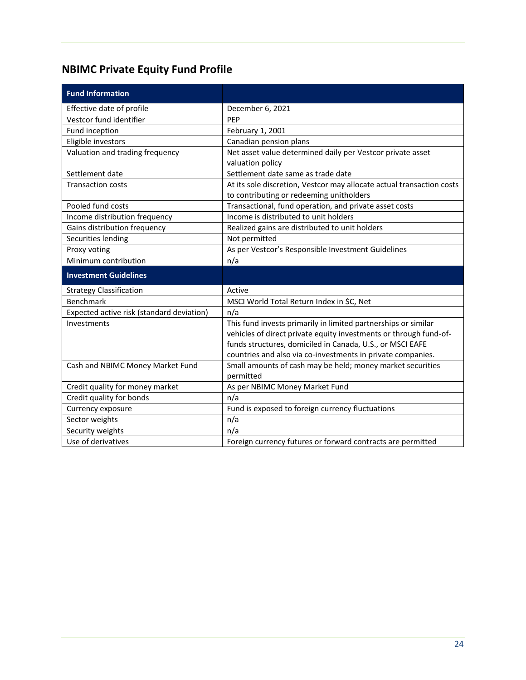## <span id="page-25-0"></span>**NBIMC Private Equity Fund Profile**

| <b>Fund Information</b>                   |                                                                                                                                                                                                                                                                 |
|-------------------------------------------|-----------------------------------------------------------------------------------------------------------------------------------------------------------------------------------------------------------------------------------------------------------------|
| Effective date of profile                 | December 6, 2021                                                                                                                                                                                                                                                |
| Vestcor fund identifier                   | PEP                                                                                                                                                                                                                                                             |
| Fund inception                            | February 1, 2001                                                                                                                                                                                                                                                |
| Eligible investors                        | Canadian pension plans                                                                                                                                                                                                                                          |
| Valuation and trading frequency           | Net asset value determined daily per Vestcor private asset<br>valuation policy                                                                                                                                                                                  |
| Settlement date                           | Settlement date same as trade date                                                                                                                                                                                                                              |
| <b>Transaction costs</b>                  | At its sole discretion, Vestcor may allocate actual transaction costs<br>to contributing or redeeming unitholders                                                                                                                                               |
| Pooled fund costs                         | Transactional, fund operation, and private asset costs                                                                                                                                                                                                          |
| Income distribution frequency             | Income is distributed to unit holders                                                                                                                                                                                                                           |
| Gains distribution frequency              | Realized gains are distributed to unit holders                                                                                                                                                                                                                  |
| Securities lending                        | Not permitted                                                                                                                                                                                                                                                   |
| Proxy voting                              | As per Vestcor's Responsible Investment Guidelines                                                                                                                                                                                                              |
| Minimum contribution                      | n/a                                                                                                                                                                                                                                                             |
| <b>Investment Guidelines</b>              |                                                                                                                                                                                                                                                                 |
| <b>Strategy Classification</b>            | Active                                                                                                                                                                                                                                                          |
| Benchmark                                 | MSCI World Total Return Index in \$C, Net                                                                                                                                                                                                                       |
| Expected active risk (standard deviation) | n/a                                                                                                                                                                                                                                                             |
| Investments                               |                                                                                                                                                                                                                                                                 |
|                                           | This fund invests primarily in limited partnerships or similar<br>vehicles of direct private equity investments or through fund-of-<br>funds structures, domiciled in Canada, U.S., or MSCI EAFE<br>countries and also via co-investments in private companies. |
| Cash and NBIMC Money Market Fund          | Small amounts of cash may be held; money market securities<br>permitted                                                                                                                                                                                         |
| Credit quality for money market           | As per NBIMC Money Market Fund                                                                                                                                                                                                                                  |
| Credit quality for bonds                  | n/a                                                                                                                                                                                                                                                             |
| Currency exposure                         | Fund is exposed to foreign currency fluctuations                                                                                                                                                                                                                |
| Sector weights                            | n/a                                                                                                                                                                                                                                                             |
| Security weights<br>Use of derivatives    | n/a                                                                                                                                                                                                                                                             |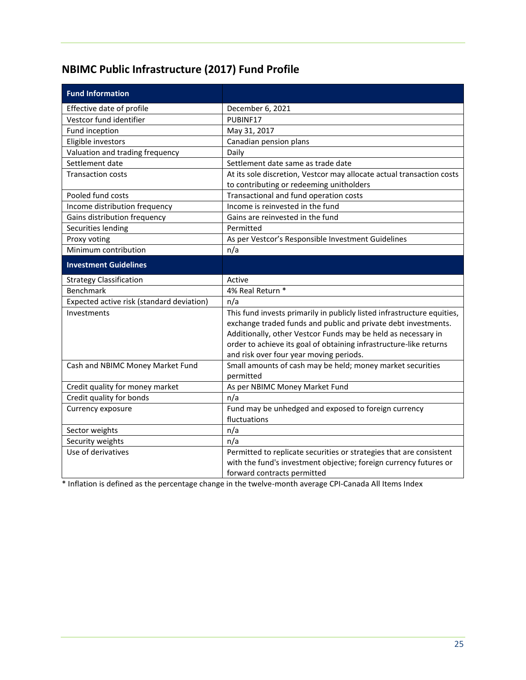## <span id="page-26-0"></span>**NBIMC Public Infrastructure (2017) Fund Profile**

| <b>Fund Information</b>                   |                                                                         |
|-------------------------------------------|-------------------------------------------------------------------------|
| Effective date of profile                 | December 6, 2021                                                        |
| Vestcor fund identifier                   | PUBINF17                                                                |
| Fund inception                            | May 31, 2017                                                            |
| Eligible investors                        | Canadian pension plans                                                  |
| Valuation and trading frequency           | Daily                                                                   |
| Settlement date                           | Settlement date same as trade date                                      |
| <b>Transaction costs</b>                  | At its sole discretion, Vestcor may allocate actual transaction costs   |
|                                           | to contributing or redeeming unitholders                                |
| Pooled fund costs                         | Transactional and fund operation costs                                  |
| Income distribution frequency             | Income is reinvested in the fund                                        |
| Gains distribution frequency              | Gains are reinvested in the fund                                        |
| Securities lending                        | Permitted                                                               |
| Proxy voting                              | As per Vestcor's Responsible Investment Guidelines                      |
| Minimum contribution                      | n/a                                                                     |
| <b>Investment Guidelines</b>              |                                                                         |
| <b>Strategy Classification</b>            | Active                                                                  |
| <b>Benchmark</b>                          | 4% Real Return *                                                        |
| Expected active risk (standard deviation) | n/a                                                                     |
| Investments                               | This fund invests primarily in publicly listed infrastructure equities, |
|                                           | exchange traded funds and public and private debt investments.          |
|                                           | Additionally, other Vestcor Funds may be held as necessary in           |
|                                           | order to achieve its goal of obtaining infrastructure-like returns      |
|                                           | and risk over four year moving periods.                                 |
| Cash and NBIMC Money Market Fund          | Small amounts of cash may be held; money market securities<br>permitted |
| Credit quality for money market           | As per NBIMC Money Market Fund                                          |
| Credit quality for bonds                  | n/a                                                                     |
| Currency exposure                         | Fund may be unhedged and exposed to foreign currency                    |
|                                           | fluctuations                                                            |
| Sector weights                            | n/a                                                                     |
| Security weights                          | n/a                                                                     |
| Use of derivatives                        | Permitted to replicate securities or strategies that are consistent     |
|                                           | with the fund's investment objective; foreign currency futures or       |
|                                           | forward contracts permitted                                             |

\* Inflation is defined as the percentage change in the twelve-month average CPI-Canada All Items Index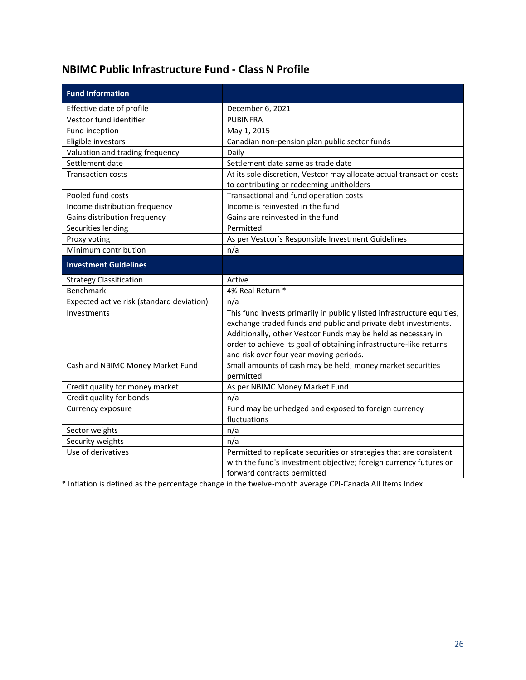#### <span id="page-27-0"></span>**NBIMC Public Infrastructure Fund - Class N Profile**

| <b>Fund Information</b>                   |                                                                                                                                                                                                                                                                                                                             |
|-------------------------------------------|-----------------------------------------------------------------------------------------------------------------------------------------------------------------------------------------------------------------------------------------------------------------------------------------------------------------------------|
| Effective date of profile                 | December 6, 2021                                                                                                                                                                                                                                                                                                            |
| Vestcor fund identifier                   | <b>PUBINFRA</b>                                                                                                                                                                                                                                                                                                             |
| Fund inception                            | May 1, 2015                                                                                                                                                                                                                                                                                                                 |
| Eligible investors                        | Canadian non-pension plan public sector funds                                                                                                                                                                                                                                                                               |
| Valuation and trading frequency           | Daily                                                                                                                                                                                                                                                                                                                       |
| Settlement date                           | Settlement date same as trade date                                                                                                                                                                                                                                                                                          |
| <b>Transaction costs</b>                  | At its sole discretion, Vestcor may allocate actual transaction costs                                                                                                                                                                                                                                                       |
|                                           | to contributing or redeeming unitholders                                                                                                                                                                                                                                                                                    |
| Pooled fund costs                         | Transactional and fund operation costs                                                                                                                                                                                                                                                                                      |
| Income distribution frequency             | Income is reinvested in the fund                                                                                                                                                                                                                                                                                            |
| Gains distribution frequency              | Gains are reinvested in the fund                                                                                                                                                                                                                                                                                            |
| Securities lending                        | Permitted                                                                                                                                                                                                                                                                                                                   |
| Proxy voting                              | As per Vestcor's Responsible Investment Guidelines                                                                                                                                                                                                                                                                          |
| Minimum contribution                      | n/a                                                                                                                                                                                                                                                                                                                         |
| <b>Investment Guidelines</b>              |                                                                                                                                                                                                                                                                                                                             |
| <b>Strategy Classification</b>            | Active                                                                                                                                                                                                                                                                                                                      |
| Benchmark                                 | 4% Real Return *                                                                                                                                                                                                                                                                                                            |
| Expected active risk (standard deviation) | n/a                                                                                                                                                                                                                                                                                                                         |
| Investments                               | This fund invests primarily in publicly listed infrastructure equities,<br>exchange traded funds and public and private debt investments.<br>Additionally, other Vestcor Funds may be held as necessary in<br>order to achieve its goal of obtaining infrastructure-like returns<br>and risk over four year moving periods. |
| Cash and NBIMC Money Market Fund          | Small amounts of cash may be held; money market securities<br>permitted                                                                                                                                                                                                                                                     |
| Credit quality for money market           | As per NBIMC Money Market Fund                                                                                                                                                                                                                                                                                              |
| Credit quality for bonds                  | n/a                                                                                                                                                                                                                                                                                                                         |
| Currency exposure                         | Fund may be unhedged and exposed to foreign currency<br>fluctuations                                                                                                                                                                                                                                                        |
| Sector weights                            | n/a                                                                                                                                                                                                                                                                                                                         |
| Security weights                          | n/a                                                                                                                                                                                                                                                                                                                         |
| Use of derivatives                        | Permitted to replicate securities or strategies that are consistent<br>with the fund's investment objective; foreign currency futures or<br>forward contracts permitted                                                                                                                                                     |

\* Inflation is defined as the percentage change in the twelve-month average CPI-Canada All Items Index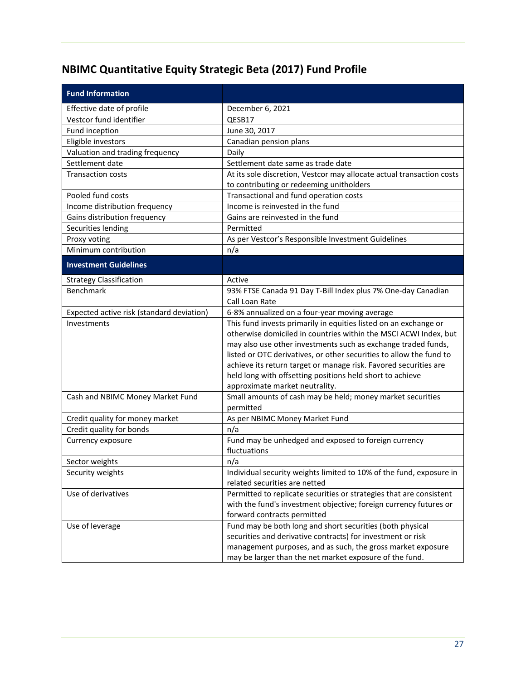## <span id="page-28-0"></span>**NBIMC Quantitative Equity Strategic Beta (2017) Fund Profile**

| <b>Fund Information</b>                                                                                                      |                                                                                                                                                                                                                                                                                                                                                                                                                                                                                                                                                                                                                             |
|------------------------------------------------------------------------------------------------------------------------------|-----------------------------------------------------------------------------------------------------------------------------------------------------------------------------------------------------------------------------------------------------------------------------------------------------------------------------------------------------------------------------------------------------------------------------------------------------------------------------------------------------------------------------------------------------------------------------------------------------------------------------|
| Effective date of profile                                                                                                    | December 6, 2021                                                                                                                                                                                                                                                                                                                                                                                                                                                                                                                                                                                                            |
| Vestcor fund identifier                                                                                                      | QESB17                                                                                                                                                                                                                                                                                                                                                                                                                                                                                                                                                                                                                      |
| Fund inception                                                                                                               | June 30, 2017                                                                                                                                                                                                                                                                                                                                                                                                                                                                                                                                                                                                               |
| Eligible investors                                                                                                           | Canadian pension plans                                                                                                                                                                                                                                                                                                                                                                                                                                                                                                                                                                                                      |
| Valuation and trading frequency                                                                                              | Daily                                                                                                                                                                                                                                                                                                                                                                                                                                                                                                                                                                                                                       |
| Settlement date                                                                                                              | Settlement date same as trade date                                                                                                                                                                                                                                                                                                                                                                                                                                                                                                                                                                                          |
| <b>Transaction costs</b>                                                                                                     | At its sole discretion, Vestcor may allocate actual transaction costs                                                                                                                                                                                                                                                                                                                                                                                                                                                                                                                                                       |
|                                                                                                                              | to contributing or redeeming unitholders                                                                                                                                                                                                                                                                                                                                                                                                                                                                                                                                                                                    |
| Pooled fund costs                                                                                                            | Transactional and fund operation costs                                                                                                                                                                                                                                                                                                                                                                                                                                                                                                                                                                                      |
| Income distribution frequency                                                                                                | Income is reinvested in the fund                                                                                                                                                                                                                                                                                                                                                                                                                                                                                                                                                                                            |
| Gains distribution frequency                                                                                                 | Gains are reinvested in the fund                                                                                                                                                                                                                                                                                                                                                                                                                                                                                                                                                                                            |
| Securities lending                                                                                                           | Permitted                                                                                                                                                                                                                                                                                                                                                                                                                                                                                                                                                                                                                   |
| Proxy voting                                                                                                                 | As per Vestcor's Responsible Investment Guidelines                                                                                                                                                                                                                                                                                                                                                                                                                                                                                                                                                                          |
| Minimum contribution                                                                                                         | n/a                                                                                                                                                                                                                                                                                                                                                                                                                                                                                                                                                                                                                         |
| <b>Investment Guidelines</b>                                                                                                 |                                                                                                                                                                                                                                                                                                                                                                                                                                                                                                                                                                                                                             |
| <b>Strategy Classification</b>                                                                                               | Active                                                                                                                                                                                                                                                                                                                                                                                                                                                                                                                                                                                                                      |
| Benchmark                                                                                                                    | 93% FTSE Canada 91 Day T-Bill Index plus 7% One-day Canadian                                                                                                                                                                                                                                                                                                                                                                                                                                                                                                                                                                |
|                                                                                                                              | Call Loan Rate                                                                                                                                                                                                                                                                                                                                                                                                                                                                                                                                                                                                              |
| Expected active risk (standard deviation)                                                                                    | 6-8% annualized on a four-year moving average                                                                                                                                                                                                                                                                                                                                                                                                                                                                                                                                                                               |
| Investments                                                                                                                  | This fund invests primarily in equities listed on an exchange or                                                                                                                                                                                                                                                                                                                                                                                                                                                                                                                                                            |
|                                                                                                                              | otherwise domiciled in countries within the MSCI ACWI Index, but                                                                                                                                                                                                                                                                                                                                                                                                                                                                                                                                                            |
|                                                                                                                              | may also use other investments such as exchange traded funds,                                                                                                                                                                                                                                                                                                                                                                                                                                                                                                                                                               |
|                                                                                                                              | listed or OTC derivatives, or other securities to allow the fund to                                                                                                                                                                                                                                                                                                                                                                                                                                                                                                                                                         |
|                                                                                                                              | achieve its return target or manage risk. Favored securities are                                                                                                                                                                                                                                                                                                                                                                                                                                                                                                                                                            |
|                                                                                                                              | held long with offsetting positions held short to achieve                                                                                                                                                                                                                                                                                                                                                                                                                                                                                                                                                                   |
|                                                                                                                              | approximate market neutrality.                                                                                                                                                                                                                                                                                                                                                                                                                                                                                                                                                                                              |
| Cash and NBIMC Money Market Fund                                                                                             | Small amounts of cash may be held; money market securities                                                                                                                                                                                                                                                                                                                                                                                                                                                                                                                                                                  |
|                                                                                                                              | permitted                                                                                                                                                                                                                                                                                                                                                                                                                                                                                                                                                                                                                   |
| Credit quality for money market                                                                                              | As per NBIMC Money Market Fund                                                                                                                                                                                                                                                                                                                                                                                                                                                                                                                                                                                              |
|                                                                                                                              |                                                                                                                                                                                                                                                                                                                                                                                                                                                                                                                                                                                                                             |
|                                                                                                                              |                                                                                                                                                                                                                                                                                                                                                                                                                                                                                                                                                                                                                             |
|                                                                                                                              |                                                                                                                                                                                                                                                                                                                                                                                                                                                                                                                                                                                                                             |
|                                                                                                                              |                                                                                                                                                                                                                                                                                                                                                                                                                                                                                                                                                                                                                             |
|                                                                                                                              |                                                                                                                                                                                                                                                                                                                                                                                                                                                                                                                                                                                                                             |
|                                                                                                                              |                                                                                                                                                                                                                                                                                                                                                                                                                                                                                                                                                                                                                             |
|                                                                                                                              |                                                                                                                                                                                                                                                                                                                                                                                                                                                                                                                                                                                                                             |
|                                                                                                                              |                                                                                                                                                                                                                                                                                                                                                                                                                                                                                                                                                                                                                             |
|                                                                                                                              |                                                                                                                                                                                                                                                                                                                                                                                                                                                                                                                                                                                                                             |
|                                                                                                                              |                                                                                                                                                                                                                                                                                                                                                                                                                                                                                                                                                                                                                             |
|                                                                                                                              |                                                                                                                                                                                                                                                                                                                                                                                                                                                                                                                                                                                                                             |
|                                                                                                                              |                                                                                                                                                                                                                                                                                                                                                                                                                                                                                                                                                                                                                             |
| Credit quality for bonds<br>Currency exposure<br>Sector weights<br>Security weights<br>Use of derivatives<br>Use of leverage | n/a<br>Fund may be unhedged and exposed to foreign currency<br>fluctuations<br>n/a<br>Individual security weights limited to 10% of the fund, exposure in<br>related securities are netted<br>Permitted to replicate securities or strategies that are consistent<br>with the fund's investment objective; foreign currency futures or<br>forward contracts permitted<br>Fund may be both long and short securities (both physical<br>securities and derivative contracts) for investment or risk<br>management purposes, and as such, the gross market exposure<br>may be larger than the net market exposure of the fund. |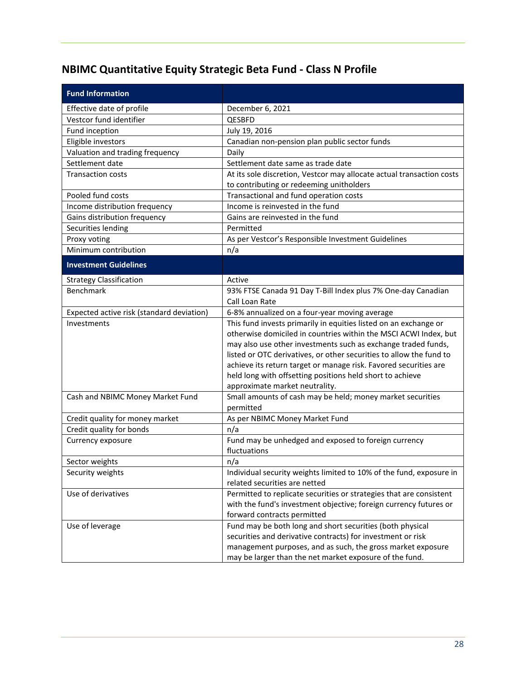## <span id="page-29-0"></span>**NBIMC Quantitative Equity Strategic Beta Fund - Class N Profile**

| <b>Fund Information</b>                   |                                                                                                      |
|-------------------------------------------|------------------------------------------------------------------------------------------------------|
| Effective date of profile                 | December 6, 2021                                                                                     |
| Vestcor fund identifier                   | QESBFD                                                                                               |
| Fund inception                            | July 19, 2016                                                                                        |
| Eligible investors                        | Canadian non-pension plan public sector funds                                                        |
| Valuation and trading frequency           | Daily                                                                                                |
| Settlement date                           | Settlement date same as trade date                                                                   |
| <b>Transaction costs</b>                  | At its sole discretion, Vestcor may allocate actual transaction costs                                |
|                                           | to contributing or redeeming unitholders                                                             |
| Pooled fund costs                         | Transactional and fund operation costs                                                               |
| Income distribution frequency             | Income is reinvested in the fund                                                                     |
| Gains distribution frequency              | Gains are reinvested in the fund                                                                     |
| Securities lending                        | Permitted                                                                                            |
| Proxy voting                              | As per Vestcor's Responsible Investment Guidelines                                                   |
| Minimum contribution                      | n/a                                                                                                  |
| <b>Investment Guidelines</b>              |                                                                                                      |
| <b>Strategy Classification</b>            | Active                                                                                               |
| Benchmark                                 | 93% FTSE Canada 91 Day T-Bill Index plus 7% One-day Canadian                                         |
|                                           | Call Loan Rate                                                                                       |
| Expected active risk (standard deviation) | 6-8% annualized on a four-year moving average                                                        |
| Investments                               | This fund invests primarily in equities listed on an exchange or                                     |
|                                           | otherwise domiciled in countries within the MSCI ACWI Index, but                                     |
|                                           | may also use other investments such as exchange traded funds,                                        |
|                                           | listed or OTC derivatives, or other securities to allow the fund to                                  |
|                                           | achieve its return target or manage risk. Favored securities are                                     |
|                                           | held long with offsetting positions held short to achieve                                            |
|                                           | approximate market neutrality.                                                                       |
| Cash and NBIMC Money Market Fund          | Small amounts of cash may be held; money market securities                                           |
|                                           | permitted                                                                                            |
| Credit quality for money market           | As per NBIMC Money Market Fund                                                                       |
| Credit quality for bonds                  | n/a                                                                                                  |
| Currency exposure                         | Fund may be unhedged and exposed to foreign currency<br>fluctuations                                 |
|                                           |                                                                                                      |
| Sector weights                            | n/a                                                                                                  |
| Security weights                          | Individual security weights limited to 10% of the fund, exposure in<br>related securities are netted |
| Use of derivatives                        | Permitted to replicate securities or strategies that are consistent                                  |
|                                           | with the fund's investment objective; foreign currency futures or                                    |
|                                           | forward contracts permitted                                                                          |
| Use of leverage                           | Fund may be both long and short securities (both physical                                            |
|                                           | securities and derivative contracts) for investment or risk                                          |
|                                           | management purposes, and as such, the gross market exposure                                          |
|                                           | may be larger than the net market exposure of the fund.                                              |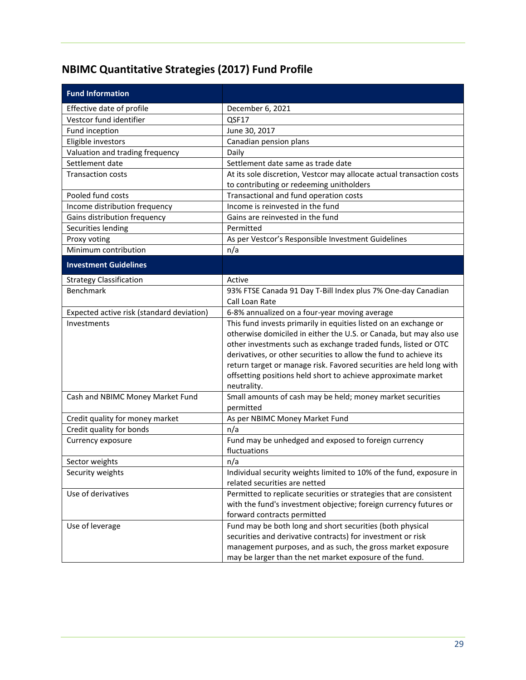## <span id="page-30-0"></span>**NBIMC Quantitative Strategies (2017) Fund Profile**

| <b>Fund Information</b>                   |                                                                       |
|-------------------------------------------|-----------------------------------------------------------------------|
| Effective date of profile                 | December 6, 2021                                                      |
| Vestcor fund identifier                   | QSF17                                                                 |
| Fund inception                            | June 30, 2017                                                         |
| Eligible investors                        | Canadian pension plans                                                |
| Valuation and trading frequency           | Daily                                                                 |
| Settlement date                           | Settlement date same as trade date                                    |
| <b>Transaction costs</b>                  | At its sole discretion, Vestcor may allocate actual transaction costs |
|                                           | to contributing or redeeming unitholders                              |
| Pooled fund costs                         | Transactional and fund operation costs                                |
| Income distribution frequency             | Income is reinvested in the fund                                      |
| Gains distribution frequency              | Gains are reinvested in the fund                                      |
| Securities lending                        | Permitted                                                             |
| Proxy voting                              | As per Vestcor's Responsible Investment Guidelines                    |
| Minimum contribution                      | n/a                                                                   |
| <b>Investment Guidelines</b>              |                                                                       |
| <b>Strategy Classification</b>            | Active                                                                |
| Benchmark                                 | 93% FTSE Canada 91 Day T-Bill Index plus 7% One-day Canadian          |
|                                           | Call Loan Rate                                                        |
| Expected active risk (standard deviation) | 6-8% annualized on a four-year moving average                         |
| Investments                               | This fund invests primarily in equities listed on an exchange or      |
|                                           | otherwise domiciled in either the U.S. or Canada, but may also use    |
|                                           | other investments such as exchange traded funds, listed or OTC        |
|                                           | derivatives, or other securities to allow the fund to achieve its     |
|                                           | return target or manage risk. Favored securities are held long with   |
|                                           | offsetting positions held short to achieve approximate market         |
|                                           | neutrality.                                                           |
| Cash and NBIMC Money Market Fund          | Small amounts of cash may be held; money market securities            |
|                                           | permitted                                                             |
| Credit quality for money market           | As per NBIMC Money Market Fund<br>n/a                                 |
| Credit quality for bonds                  | Fund may be unhedged and exposed to foreign currency                  |
| Currency exposure                         | fluctuations                                                          |
| Sector weights                            | n/a                                                                   |
| Security weights                          | Individual security weights limited to 10% of the fund, exposure in   |
|                                           | related securities are netted                                         |
| Use of derivatives                        | Permitted to replicate securities or strategies that are consistent   |
|                                           | with the fund's investment objective; foreign currency futures or     |
|                                           | forward contracts permitted                                           |
| Use of leverage                           | Fund may be both long and short securities (both physical             |
|                                           | securities and derivative contracts) for investment or risk           |
|                                           | management purposes, and as such, the gross market exposure           |
|                                           | may be larger than the net market exposure of the fund.               |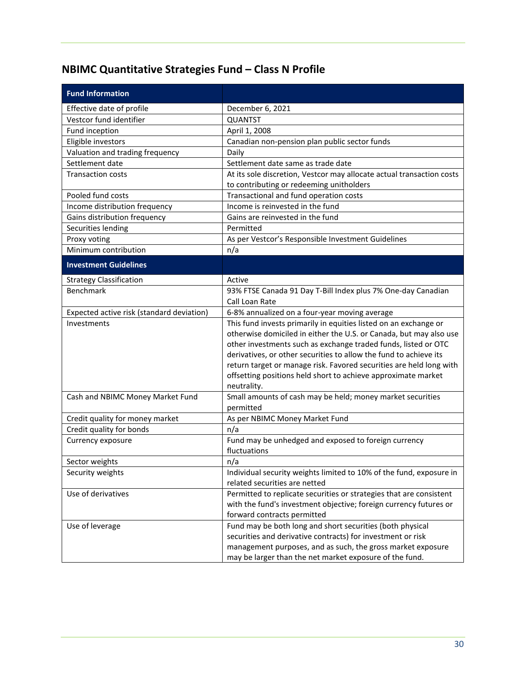## <span id="page-31-0"></span>**NBIMC Quantitative Strategies Fund – Class N Profile**

| <b>Fund Information</b>                   |                                                                       |
|-------------------------------------------|-----------------------------------------------------------------------|
| Effective date of profile                 | December 6, 2021                                                      |
| Vestcor fund identifier                   | <b>QUANTST</b>                                                        |
| Fund inception                            | April 1, 2008                                                         |
| Eligible investors                        | Canadian non-pension plan public sector funds                         |
| Valuation and trading frequency           | Daily                                                                 |
| Settlement date                           | Settlement date same as trade date                                    |
| <b>Transaction costs</b>                  | At its sole discretion, Vestcor may allocate actual transaction costs |
|                                           | to contributing or redeeming unitholders                              |
| Pooled fund costs                         | Transactional and fund operation costs                                |
| Income distribution frequency             | Income is reinvested in the fund                                      |
| Gains distribution frequency              | Gains are reinvested in the fund                                      |
| Securities lending                        | Permitted                                                             |
| Proxy voting                              | As per Vestcor's Responsible Investment Guidelines                    |
| Minimum contribution                      | n/a                                                                   |
| <b>Investment Guidelines</b>              |                                                                       |
| <b>Strategy Classification</b>            | Active                                                                |
| Benchmark                                 | 93% FTSE Canada 91 Day T-Bill Index plus 7% One-day Canadian          |
|                                           | Call Loan Rate                                                        |
| Expected active risk (standard deviation) | 6-8% annualized on a four-year moving average                         |
| Investments                               | This fund invests primarily in equities listed on an exchange or      |
|                                           | otherwise domiciled in either the U.S. or Canada, but may also use    |
|                                           | other investments such as exchange traded funds, listed or OTC        |
|                                           | derivatives, or other securities to allow the fund to achieve its     |
|                                           | return target or manage risk. Favored securities are held long with   |
|                                           | offsetting positions held short to achieve approximate market         |
|                                           | neutrality.                                                           |
| Cash and NBIMC Money Market Fund          | Small amounts of cash may be held; money market securities            |
|                                           | permitted                                                             |
| Credit quality for money market           | As per NBIMC Money Market Fund<br>n/a                                 |
| Credit quality for bonds                  |                                                                       |
| Currency exposure                         | Fund may be unhedged and exposed to foreign currency<br>fluctuations  |
| Sector weights                            | n/a                                                                   |
| Security weights                          | Individual security weights limited to 10% of the fund, exposure in   |
|                                           | related securities are netted                                         |
| Use of derivatives                        | Permitted to replicate securities or strategies that are consistent   |
|                                           | with the fund's investment objective; foreign currency futures or     |
|                                           | forward contracts permitted                                           |
| Use of leverage                           | Fund may be both long and short securities (both physical             |
|                                           | securities and derivative contracts) for investment or risk           |
|                                           | management purposes, and as such, the gross market exposure           |
|                                           | may be larger than the net market exposure of the fund.               |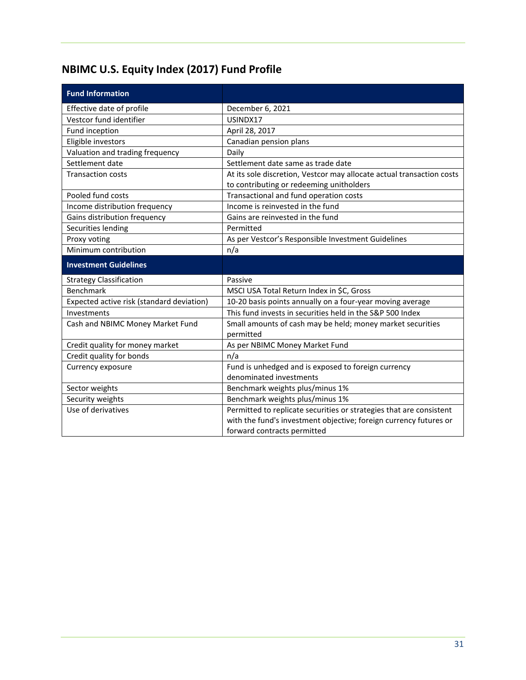# <span id="page-32-0"></span>**NBIMC U.S. Equity Index (2017) Fund Profile**

| <b>Fund Information</b>                   |                                                                                                                   |
|-------------------------------------------|-------------------------------------------------------------------------------------------------------------------|
| Effective date of profile                 | December 6, 2021                                                                                                  |
| Vestcor fund identifier                   | USINDX17                                                                                                          |
| Fund inception                            | April 28, 2017                                                                                                    |
| Eligible investors                        | Canadian pension plans                                                                                            |
| Valuation and trading frequency           | Daily                                                                                                             |
| Settlement date                           | Settlement date same as trade date                                                                                |
| <b>Transaction costs</b>                  | At its sole discretion, Vestcor may allocate actual transaction costs<br>to contributing or redeeming unitholders |
| Pooled fund costs                         | Transactional and fund operation costs                                                                            |
| Income distribution frequency             | Income is reinvested in the fund                                                                                  |
| Gains distribution frequency              | Gains are reinvested in the fund                                                                                  |
| Securities lending                        | Permitted                                                                                                         |
| Proxy voting                              | As per Vestcor's Responsible Investment Guidelines                                                                |
| Minimum contribution                      | n/a                                                                                                               |
| <b>Investment Guidelines</b>              |                                                                                                                   |
| <b>Strategy Classification</b>            | Passive                                                                                                           |
| Benchmark                                 | MSCI USA Total Return Index in \$C, Gross                                                                         |
| Expected active risk (standard deviation) | 10-20 basis points annually on a four-year moving average                                                         |
| Investments                               | This fund invests in securities held in the S&P 500 Index                                                         |
| Cash and NBIMC Money Market Fund          | Small amounts of cash may be held; money market securities                                                        |
|                                           | permitted                                                                                                         |
| Credit quality for money market           | As per NBIMC Money Market Fund                                                                                    |
| Credit quality for bonds                  |                                                                                                                   |
|                                           | n/a                                                                                                               |
| Currency exposure                         | Fund is unhedged and is exposed to foreign currency                                                               |
|                                           | denominated investments                                                                                           |
| Sector weights                            | Benchmark weights plus/minus 1%                                                                                   |
| Security weights                          | Benchmark weights plus/minus 1%                                                                                   |
| Use of derivatives                        | Permitted to replicate securities or strategies that are consistent                                               |
|                                           | with the fund's investment objective; foreign currency futures or<br>forward contracts permitted                  |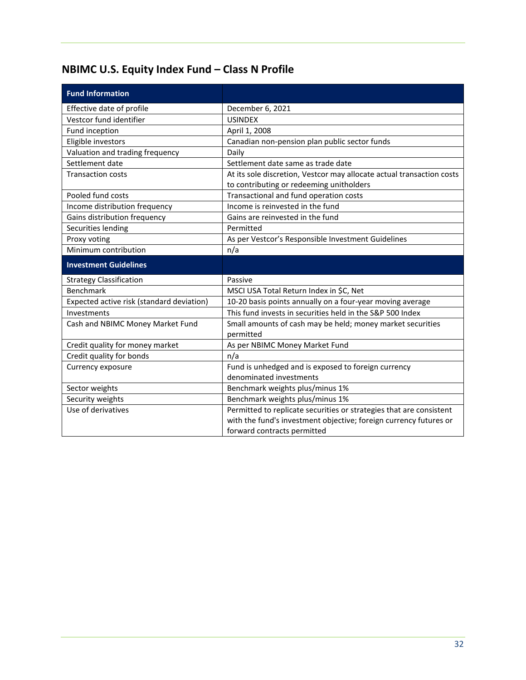## <span id="page-33-0"></span>**NBIMC U.S. Equity Index Fund – Class N Profile**

| <b>Fund Information</b>                   |                                                                                                                   |
|-------------------------------------------|-------------------------------------------------------------------------------------------------------------------|
| Effective date of profile                 | December 6, 2021                                                                                                  |
| Vestcor fund identifier                   | <b>USINDEX</b>                                                                                                    |
| Fund inception                            | April 1, 2008                                                                                                     |
| Eligible investors                        | Canadian non-pension plan public sector funds                                                                     |
| Valuation and trading frequency           | Daily                                                                                                             |
| Settlement date                           | Settlement date same as trade date                                                                                |
| <b>Transaction costs</b>                  | At its sole discretion, Vestcor may allocate actual transaction costs<br>to contributing or redeeming unitholders |
| Pooled fund costs                         | Transactional and fund operation costs                                                                            |
| Income distribution frequency             | Income is reinvested in the fund                                                                                  |
| Gains distribution frequency              | Gains are reinvested in the fund                                                                                  |
| Securities lending                        | Permitted                                                                                                         |
| Proxy voting                              | As per Vestcor's Responsible Investment Guidelines                                                                |
| Minimum contribution                      | n/a                                                                                                               |
| <b>Investment Guidelines</b>              |                                                                                                                   |
| <b>Strategy Classification</b>            | Passive                                                                                                           |
| <b>Benchmark</b>                          | MSCI USA Total Return Index in \$C, Net                                                                           |
| Expected active risk (standard deviation) |                                                                                                                   |
|                                           | 10-20 basis points annually on a four-year moving average                                                         |
| Investments                               | This fund invests in securities held in the S&P 500 Index                                                         |
| Cash and NBIMC Money Market Fund          | Small amounts of cash may be held; money market securities                                                        |
|                                           | permitted                                                                                                         |
| Credit quality for money market           | As per NBIMC Money Market Fund                                                                                    |
| Credit quality for bonds                  | n/a                                                                                                               |
| Currency exposure                         | Fund is unhedged and is exposed to foreign currency                                                               |
|                                           | denominated investments                                                                                           |
| Sector weights                            | Benchmark weights plus/minus 1%                                                                                   |
| Security weights                          | Benchmark weights plus/minus 1%                                                                                   |
| Use of derivatives                        | Permitted to replicate securities or strategies that are consistent                                               |
|                                           | with the fund's investment objective; foreign currency futures or<br>forward contracts permitted                  |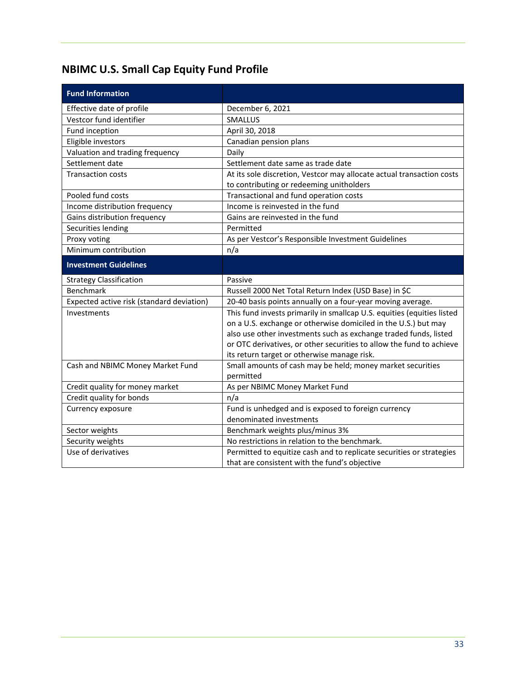## <span id="page-34-0"></span>**NBIMC U.S. Small Cap Equity Fund Profile**

| <b>Fund Information</b>                   |                                                                                                                       |
|-------------------------------------------|-----------------------------------------------------------------------------------------------------------------------|
| Effective date of profile                 | December 6, 2021                                                                                                      |
| Vestcor fund identifier                   | SMALLUS                                                                                                               |
| Fund inception                            | April 30, 2018                                                                                                        |
| Eligible investors                        | Canadian pension plans                                                                                                |
| Valuation and trading frequency           | Daily                                                                                                                 |
| Settlement date                           | Settlement date same as trade date                                                                                    |
| <b>Transaction costs</b>                  | At its sole discretion, Vestcor may allocate actual transaction costs                                                 |
|                                           | to contributing or redeeming unitholders                                                                              |
| Pooled fund costs                         | Transactional and fund operation costs                                                                                |
| Income distribution frequency             | Income is reinvested in the fund                                                                                      |
| Gains distribution frequency              | Gains are reinvested in the fund                                                                                      |
| Securities lending                        | Permitted                                                                                                             |
| Proxy voting                              | As per Vestcor's Responsible Investment Guidelines                                                                    |
| Minimum contribution                      | n/a                                                                                                                   |
| <b>Investment Guidelines</b>              |                                                                                                                       |
| <b>Strategy Classification</b>            | Passive                                                                                                               |
| <b>Benchmark</b>                          | Russell 2000 Net Total Return Index (USD Base) in \$C                                                                 |
| Expected active risk (standard deviation) | 20-40 basis points annually on a four-year moving average.                                                            |
| Investments                               | This fund invests primarily in smallcap U.S. equities (equities listed                                                |
|                                           | on a U.S. exchange or otherwise domiciled in the U.S.) but may                                                        |
|                                           | also use other investments such as exchange traded funds, listed                                                      |
|                                           | or OTC derivatives, or other securities to allow the fund to achieve                                                  |
|                                           | its return target or otherwise manage risk.                                                                           |
| Cash and NBIMC Money Market Fund          | Small amounts of cash may be held; money market securities                                                            |
|                                           | permitted                                                                                                             |
| Credit quality for money market           | As per NBIMC Money Market Fund                                                                                        |
| Credit quality for bonds                  | n/a                                                                                                                   |
| Currency exposure                         | Fund is unhedged and is exposed to foreign currency                                                                   |
|                                           | denominated investments                                                                                               |
| Sector weights                            | Benchmark weights plus/minus 3%                                                                                       |
| Security weights                          | No restrictions in relation to the benchmark.                                                                         |
|                                           |                                                                                                                       |
| Use of derivatives                        | Permitted to equitize cash and to replicate securities or strategies<br>that are consistent with the fund's objective |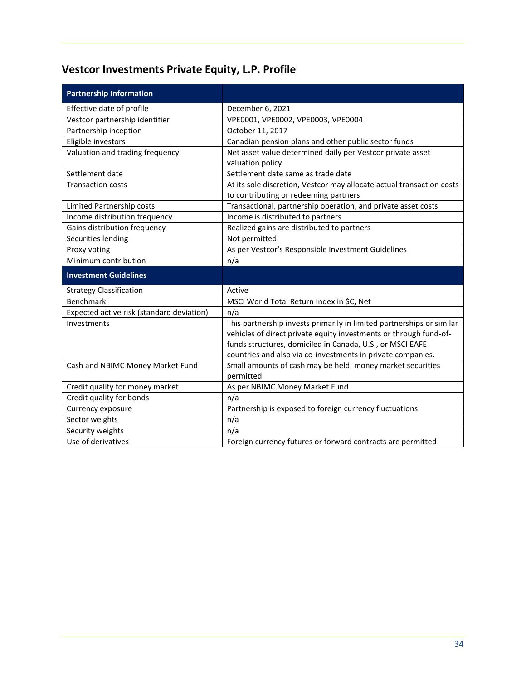## <span id="page-35-0"></span>**Vestcor Investments Private Equity, L.P. Profile**

| <b>Partnership Information</b>            |                                                                       |
|-------------------------------------------|-----------------------------------------------------------------------|
| Effective date of profile                 | December 6, 2021                                                      |
| Vestcor partnership identifier            | VPE0001, VPE0002, VPE0003, VPE0004                                    |
| Partnership inception                     | October 11, 2017                                                      |
| Eligible investors                        | Canadian pension plans and other public sector funds                  |
| Valuation and trading frequency           | Net asset value determined daily per Vestcor private asset            |
|                                           | valuation policy                                                      |
| Settlement date                           | Settlement date same as trade date                                    |
| <b>Transaction costs</b>                  | At its sole discretion, Vestcor may allocate actual transaction costs |
|                                           | to contributing or redeeming partners                                 |
| Limited Partnership costs                 | Transactional, partnership operation, and private asset costs         |
| Income distribution frequency             | Income is distributed to partners                                     |
| Gains distribution frequency              | Realized gains are distributed to partners                            |
| Securities lending                        | Not permitted                                                         |
| Proxy voting                              | As per Vestcor's Responsible Investment Guidelines                    |
| Minimum contribution                      | n/a                                                                   |
|                                           |                                                                       |
| <b>Investment Guidelines</b>              |                                                                       |
| <b>Strategy Classification</b>            | Active                                                                |
| Benchmark                                 | MSCI World Total Return Index in \$C, Net                             |
| Expected active risk (standard deviation) | n/a                                                                   |
| Investments                               | This partnership invests primarily in limited partnerships or similar |
|                                           | vehicles of direct private equity investments or through fund-of-     |
|                                           | funds structures, domiciled in Canada, U.S., or MSCI EAFE             |
|                                           | countries and also via co-investments in private companies.           |
| Cash and NBIMC Money Market Fund          | Small amounts of cash may be held; money market securities            |
|                                           | permitted                                                             |
| Credit quality for money market           | As per NBIMC Money Market Fund                                        |
| Credit quality for bonds                  | n/a                                                                   |
| Currency exposure                         | Partnership is exposed to foreign currency fluctuations               |
| Sector weights                            | n/a                                                                   |
| Security weights<br>Use of derivatives    | n/a<br>Foreign currency futures or forward contracts are permitted    |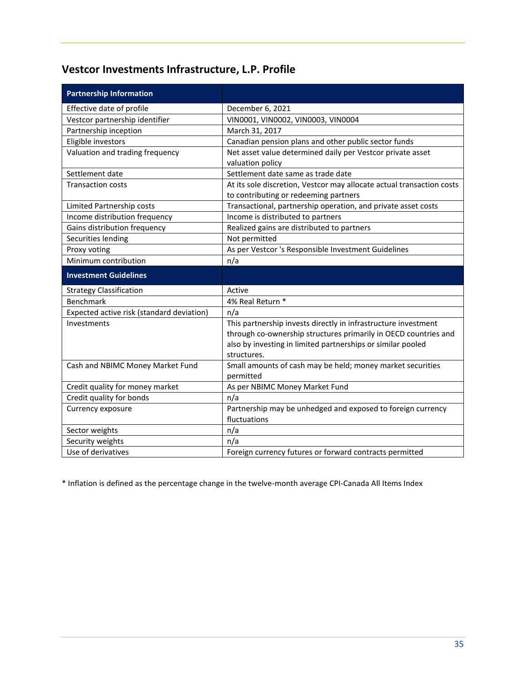## <span id="page-36-0"></span>**Vestcor Investments Infrastructure, L.P. Profile**

| <b>Partnership Information</b>            |                                                                         |
|-------------------------------------------|-------------------------------------------------------------------------|
| Effective date of profile                 | December 6, 2021                                                        |
| Vestcor partnership identifier            | VIN0001, VIN0002, VIN0003, VIN0004                                      |
| Partnership inception                     | March 31, 2017                                                          |
| Eligible investors                        | Canadian pension plans and other public sector funds                    |
| Valuation and trading frequency           | Net asset value determined daily per Vestcor private asset              |
|                                           | valuation policy                                                        |
| Settlement date                           | Settlement date same as trade date                                      |
| <b>Transaction costs</b>                  | At its sole discretion, Vestcor may allocate actual transaction costs   |
|                                           | to contributing or redeeming partners                                   |
| Limited Partnership costs                 | Transactional, partnership operation, and private asset costs           |
| Income distribution frequency             | Income is distributed to partners                                       |
| Gains distribution frequency              | Realized gains are distributed to partners                              |
| Securities lending                        | Not permitted                                                           |
| Proxy voting                              | As per Vestcor 's Responsible Investment Guidelines                     |
| Minimum contribution                      | n/a                                                                     |
|                                           |                                                                         |
| <b>Investment Guidelines</b>              |                                                                         |
| <b>Strategy Classification</b>            | Active                                                                  |
| <b>Benchmark</b>                          | 4% Real Return *                                                        |
| Expected active risk (standard deviation) | n/a                                                                     |
| Investments                               | This partnership invests directly in infrastructure investment          |
|                                           | through co-ownership structures primarily in OECD countries and         |
|                                           | also by investing in limited partnerships or similar pooled             |
|                                           | structures.                                                             |
| Cash and NBIMC Money Market Fund          | Small amounts of cash may be held; money market securities<br>permitted |
| Credit quality for money market           | As per NBIMC Money Market Fund                                          |
| Credit quality for bonds                  | n/a                                                                     |
| Currency exposure                         | Partnership may be unhedged and exposed to foreign currency             |
|                                           | fluctuations                                                            |
| Sector weights                            | n/a                                                                     |
| Security weights                          | n/a                                                                     |

\* Inflation is defined as the percentage change in the twelve-month average CPI-Canada All Items Index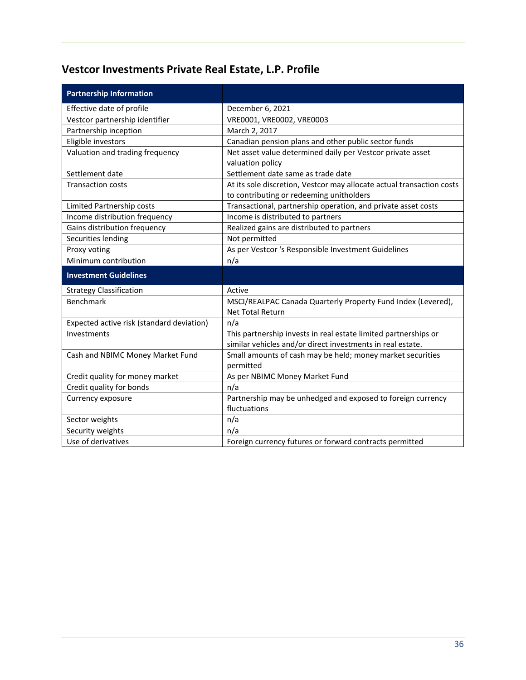## <span id="page-37-0"></span>**Vestcor Investments Private Real Estate, L.P. Profile**

| <b>Partnership Information</b>            |                                                                                                                               |
|-------------------------------------------|-------------------------------------------------------------------------------------------------------------------------------|
| Effective date of profile                 | December 6, 2021                                                                                                              |
| Vestcor partnership identifier            | VRE0001, VRE0002, VRE0003                                                                                                     |
| Partnership inception                     | March 2, 2017                                                                                                                 |
| Eligible investors                        | Canadian pension plans and other public sector funds                                                                          |
| Valuation and trading frequency           | Net asset value determined daily per Vestcor private asset<br>valuation policy                                                |
| Settlement date                           | Settlement date same as trade date                                                                                            |
| <b>Transaction costs</b>                  | At its sole discretion, Vestcor may allocate actual transaction costs<br>to contributing or redeeming unitholders             |
| Limited Partnership costs                 | Transactional, partnership operation, and private asset costs                                                                 |
| Income distribution frequency             | Income is distributed to partners                                                                                             |
| Gains distribution frequency              | Realized gains are distributed to partners                                                                                    |
| Securities lending                        | Not permitted                                                                                                                 |
| Proxy voting                              | As per Vestcor 's Responsible Investment Guidelines                                                                           |
| Minimum contribution                      | n/a                                                                                                                           |
|                                           |                                                                                                                               |
| <b>Investment Guidelines</b>              |                                                                                                                               |
| <b>Strategy Classification</b>            | Active                                                                                                                        |
| Benchmark                                 | MSCI/REALPAC Canada Quarterly Property Fund Index (Levered),<br><b>Net Total Return</b>                                       |
| Expected active risk (standard deviation) | n/a                                                                                                                           |
| Investments                               | This partnership invests in real estate limited partnerships or<br>similar vehicles and/or direct investments in real estate. |
| Cash and NBIMC Money Market Fund          | Small amounts of cash may be held; money market securities<br>permitted                                                       |
| Credit quality for money market           | As per NBIMC Money Market Fund                                                                                                |
| Credit quality for bonds                  | n/a                                                                                                                           |
| Currency exposure                         | Partnership may be unhedged and exposed to foreign currency<br>fluctuations                                                   |
| Sector weights                            | n/a                                                                                                                           |
| Security weights                          | n/a                                                                                                                           |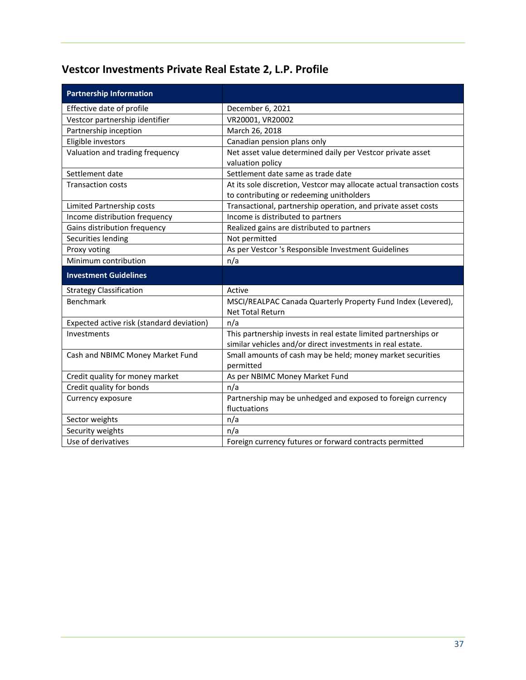## <span id="page-38-0"></span>**Vestcor Investments Private Real Estate 2, L.P. Profile**

| <b>Partnership Information</b>            |                                                                                                                               |
|-------------------------------------------|-------------------------------------------------------------------------------------------------------------------------------|
| Effective date of profile                 | December 6, 2021                                                                                                              |
| Vestcor partnership identifier            | VR20001, VR20002                                                                                                              |
| Partnership inception                     | March 26, 2018                                                                                                                |
| Eligible investors                        | Canadian pension plans only                                                                                                   |
| Valuation and trading frequency           | Net asset value determined daily per Vestcor private asset<br>valuation policy                                                |
| Settlement date                           | Settlement date same as trade date                                                                                            |
| <b>Transaction costs</b>                  | At its sole discretion, Vestcor may allocate actual transaction costs<br>to contributing or redeeming unitholders             |
| Limited Partnership costs                 | Transactional, partnership operation, and private asset costs                                                                 |
| Income distribution frequency             | Income is distributed to partners                                                                                             |
| Gains distribution frequency              | Realized gains are distributed to partners                                                                                    |
| Securities lending                        | Not permitted                                                                                                                 |
| Proxy voting                              | As per Vestcor 's Responsible Investment Guidelines                                                                           |
| Minimum contribution                      | n/a                                                                                                                           |
|                                           |                                                                                                                               |
| <b>Investment Guidelines</b>              |                                                                                                                               |
| <b>Strategy Classification</b>            | Active                                                                                                                        |
| <b>Benchmark</b>                          | MSCI/REALPAC Canada Quarterly Property Fund Index (Levered),<br><b>Net Total Return</b>                                       |
| Expected active risk (standard deviation) | n/a                                                                                                                           |
| Investments                               | This partnership invests in real estate limited partnerships or<br>similar vehicles and/or direct investments in real estate. |
| Cash and NBIMC Money Market Fund          | Small amounts of cash may be held; money market securities<br>permitted                                                       |
| Credit quality for money market           | As per NBIMC Money Market Fund                                                                                                |
| Credit quality for bonds                  | n/a                                                                                                                           |
| Currency exposure                         | Partnership may be unhedged and exposed to foreign currency<br>fluctuations                                                   |
| Sector weights                            | n/a                                                                                                                           |
| Security weights                          | n/a                                                                                                                           |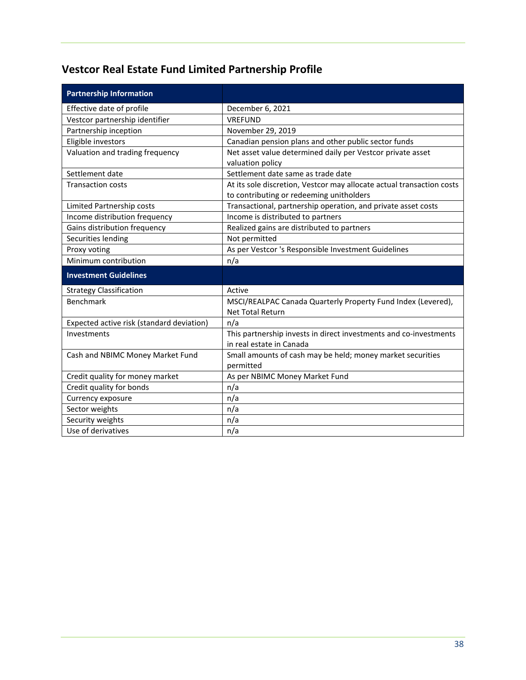## <span id="page-39-0"></span>**Vestcor Real Estate Fund Limited Partnership Profile**

| <b>Partnership Information</b>            |                                                                                                                   |
|-------------------------------------------|-------------------------------------------------------------------------------------------------------------------|
| Effective date of profile                 | December 6, 2021                                                                                                  |
| Vestcor partnership identifier            | <b>VREFUND</b>                                                                                                    |
| Partnership inception                     | November 29, 2019                                                                                                 |
| Eligible investors                        | Canadian pension plans and other public sector funds                                                              |
| Valuation and trading frequency           | Net asset value determined daily per Vestcor private asset<br>valuation policy                                    |
| Settlement date                           | Settlement date same as trade date                                                                                |
| <b>Transaction costs</b>                  | At its sole discretion, Vestcor may allocate actual transaction costs<br>to contributing or redeeming unitholders |
| Limited Partnership costs                 | Transactional, partnership operation, and private asset costs                                                     |
| Income distribution frequency             | Income is distributed to partners                                                                                 |
| Gains distribution frequency              | Realized gains are distributed to partners                                                                        |
| Securities lending                        | Not permitted                                                                                                     |
| Proxy voting                              | As per Vestcor 's Responsible Investment Guidelines                                                               |
| Minimum contribution                      | n/a                                                                                                               |
| <b>Investment Guidelines</b>              |                                                                                                                   |
| <b>Strategy Classification</b>            | Active                                                                                                            |
| <b>Benchmark</b>                          | MSCI/REALPAC Canada Quarterly Property Fund Index (Levered),<br><b>Net Total Return</b>                           |
| Expected active risk (standard deviation) | n/a                                                                                                               |
| Investments                               | This partnership invests in direct investments and co-investments<br>in real estate in Canada                     |
| Cash and NBIMC Money Market Fund          | Small amounts of cash may be held; money market securities<br>permitted                                           |
| Credit quality for money market           | As per NBIMC Money Market Fund                                                                                    |
| Credit quality for bonds                  | n/a                                                                                                               |
| Currency exposure                         | n/a                                                                                                               |
| Sector weights                            | n/a                                                                                                               |
| Security weights                          | n/a                                                                                                               |
| Use of derivatives                        | n/a                                                                                                               |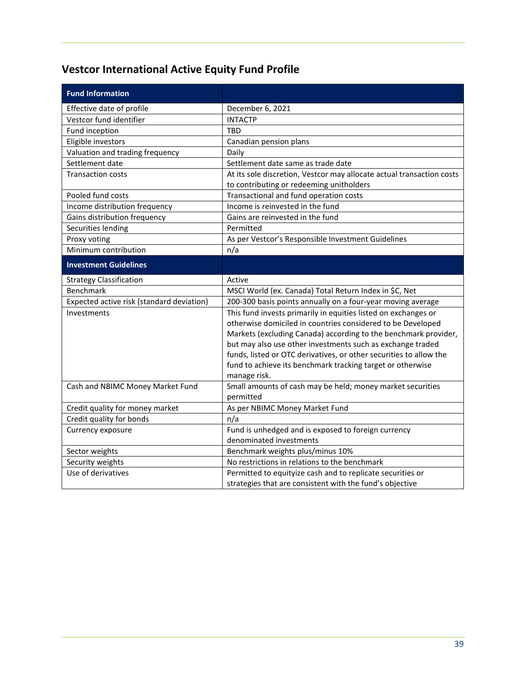## <span id="page-40-0"></span>**Vestcor International Active Equity Fund Profile**

| <b>Fund Information</b>                   |                                                                                |
|-------------------------------------------|--------------------------------------------------------------------------------|
| Effective date of profile                 | December 6, 2021                                                               |
| Vestcor fund identifier                   | <b>INTACTP</b>                                                                 |
| Fund inception                            | TBD                                                                            |
| Eligible investors                        | Canadian pension plans                                                         |
| Valuation and trading frequency           | Daily                                                                          |
| Settlement date                           | Settlement date same as trade date                                             |
| <b>Transaction costs</b>                  | At its sole discretion, Vestcor may allocate actual transaction costs          |
|                                           | to contributing or redeeming unitholders                                       |
| Pooled fund costs                         | Transactional and fund operation costs                                         |
| Income distribution frequency             | Income is reinvested in the fund                                               |
| Gains distribution frequency              | Gains are reinvested in the fund                                               |
| Securities lending                        | Permitted                                                                      |
| Proxy voting                              | As per Vestcor's Responsible Investment Guidelines                             |
| Minimum contribution                      | n/a                                                                            |
| <b>Investment Guidelines</b>              |                                                                                |
| <b>Strategy Classification</b>            | Active                                                                         |
| Benchmark                                 | MSCI World (ex. Canada) Total Return Index in \$C, Net                         |
| Expected active risk (standard deviation) | 200-300 basis points annually on a four-year moving average                    |
| Investments                               | This fund invests primarily in equities listed on exchanges or                 |
|                                           | otherwise domiciled in countries considered to be Developed                    |
|                                           | Markets (excluding Canada) according to the benchmark provider,                |
|                                           | but may also use other investments such as exchange traded                     |
|                                           | funds, listed or OTC derivatives, or other securities to allow the             |
|                                           | fund to achieve its benchmark tracking target or otherwise                     |
|                                           | manage risk.                                                                   |
| Cash and NBIMC Money Market Fund          | Small amounts of cash may be held; money market securities                     |
|                                           | permitted                                                                      |
| Credit quality for money market           | As per NBIMC Money Market Fund                                                 |
| Credit quality for bonds                  | n/a                                                                            |
| Currency exposure                         | Fund is unhedged and is exposed to foreign currency<br>denominated investments |
| Sector weights                            | Benchmark weights plus/minus 10%                                               |
| Security weights                          | No restrictions in relations to the benchmark                                  |
| Use of derivatives                        | Permitted to equityize cash and to replicate securities or                     |
|                                           | strategies that are consistent with the fund's objective                       |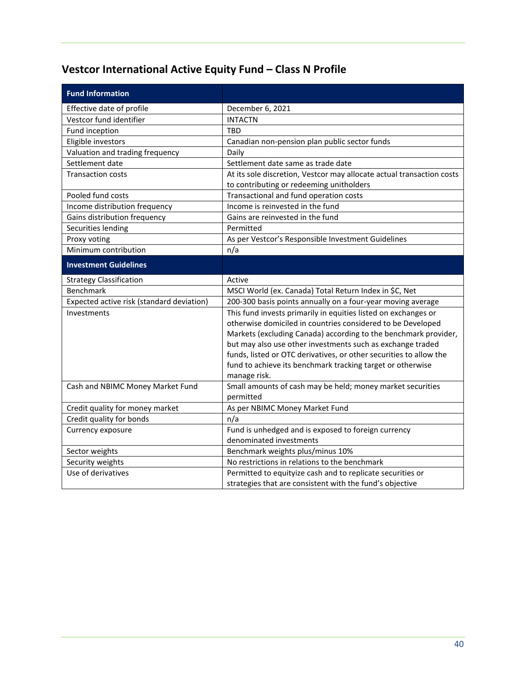## <span id="page-41-0"></span>**Vestcor International Active Equity Fund – Class N Profile**

| <b>Fund Information</b>                   |                                                                       |
|-------------------------------------------|-----------------------------------------------------------------------|
| Effective date of profile                 | December 6, 2021                                                      |
| Vestcor fund identifier                   | <b>INTACTN</b>                                                        |
| Fund inception                            | <b>TBD</b>                                                            |
| Eligible investors                        | Canadian non-pension plan public sector funds                         |
| Valuation and trading frequency           | Daily                                                                 |
| Settlement date                           | Settlement date same as trade date                                    |
| <b>Transaction costs</b>                  | At its sole discretion, Vestcor may allocate actual transaction costs |
|                                           | to contributing or redeeming unitholders                              |
| Pooled fund costs                         | Transactional and fund operation costs                                |
| Income distribution frequency             | Income is reinvested in the fund                                      |
| Gains distribution frequency              | Gains are reinvested in the fund                                      |
| Securities lending                        | Permitted                                                             |
| Proxy voting                              | As per Vestcor's Responsible Investment Guidelines                    |
| Minimum contribution                      | n/a                                                                   |
| <b>Investment Guidelines</b>              |                                                                       |
| <b>Strategy Classification</b>            | Active                                                                |
| Benchmark                                 | MSCI World (ex. Canada) Total Return Index in \$C, Net                |
| Expected active risk (standard deviation) | 200-300 basis points annually on a four-year moving average           |
| Investments                               | This fund invests primarily in equities listed on exchanges or        |
|                                           | otherwise domiciled in countries considered to be Developed           |
|                                           | Markets (excluding Canada) according to the benchmark provider,       |
|                                           | but may also use other investments such as exchange traded            |
|                                           | funds, listed or OTC derivatives, or other securities to allow the    |
|                                           | fund to achieve its benchmark tracking target or otherwise            |
|                                           | manage risk.                                                          |
| Cash and NBIMC Money Market Fund          | Small amounts of cash may be held; money market securities            |
|                                           | permitted                                                             |
| Credit quality for money market           | As per NBIMC Money Market Fund                                        |
| Credit quality for bonds                  | n/a                                                                   |
| Currency exposure                         | Fund is unhedged and is exposed to foreign currency                   |
|                                           | denominated investments                                               |
| Sector weights                            | Benchmark weights plus/minus 10%                                      |
| Security weights                          | No restrictions in relations to the benchmark                         |
| Use of derivatives                        | Permitted to equityize cash and to replicate securities or            |
|                                           | strategies that are consistent with the fund's objective              |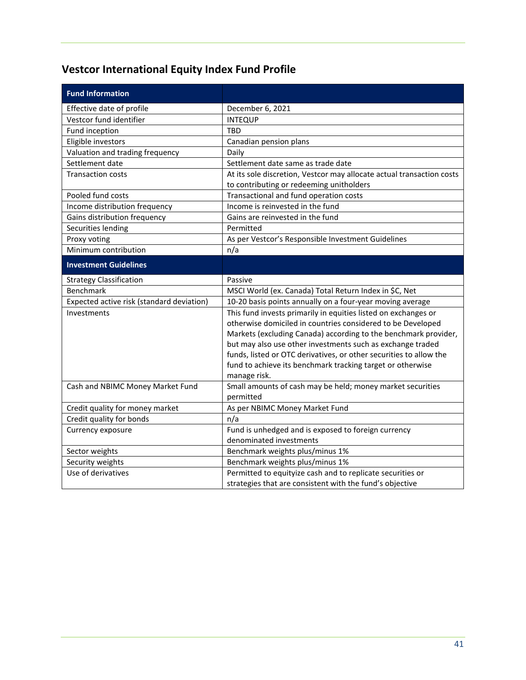## <span id="page-42-0"></span>**Vestcor International Equity Index Fund Profile**

| Effective date of profile<br>December 6, 2021                                                                          |
|------------------------------------------------------------------------------------------------------------------------|
|                                                                                                                        |
| Vestcor fund identifier<br><b>INTEQUP</b>                                                                              |
| Fund inception<br>TBD                                                                                                  |
| Eligible investors<br>Canadian pension plans                                                                           |
| Valuation and trading frequency<br>Daily                                                                               |
| Settlement date<br>Settlement date same as trade date                                                                  |
| <b>Transaction costs</b><br>At its sole discretion, Vestcor may allocate actual transaction costs                      |
| to contributing or redeeming unitholders                                                                               |
| Transactional and fund operation costs<br>Pooled fund costs                                                            |
| Income distribution frequency<br>Income is reinvested in the fund                                                      |
| Gains distribution frequency<br>Gains are reinvested in the fund                                                       |
| Securities lending<br>Permitted                                                                                        |
| Proxy voting<br>As per Vestcor's Responsible Investment Guidelines                                                     |
| Minimum contribution<br>n/a                                                                                            |
| <b>Investment Guidelines</b>                                                                                           |
| <b>Strategy Classification</b><br>Passive                                                                              |
| Benchmark<br>MSCI World (ex. Canada) Total Return Index in \$C, Net                                                    |
| Expected active risk (standard deviation)<br>10-20 basis points annually on a four-year moving average                 |
| Investments<br>This fund invests primarily in equities listed on exchanges or                                          |
| otherwise domiciled in countries considered to be Developed                                                            |
| Markets (excluding Canada) according to the benchmark provider,                                                        |
| but may also use other investments such as exchange traded                                                             |
| funds, listed or OTC derivatives, or other securities to allow the                                                     |
| fund to achieve its benchmark tracking target or otherwise                                                             |
| manage risk.                                                                                                           |
| Small amounts of cash may be held; money market securities<br>Cash and NBIMC Money Market Fund                         |
| permitted                                                                                                              |
| Credit quality for money market<br>As per NBIMC Money Market Fund                                                      |
| Credit quality for bonds<br>n/a                                                                                        |
| Fund is unhedged and is exposed to foreign currency<br>Currency exposure<br>denominated investments                    |
|                                                                                                                        |
| Sector weights<br>Benchmark weights plus/minus 1%<br>Security weights<br>Benchmark weights plus/minus 1%               |
| Use of derivatives                                                                                                     |
| Permitted to equityize cash and to replicate securities or<br>strategies that are consistent with the fund's objective |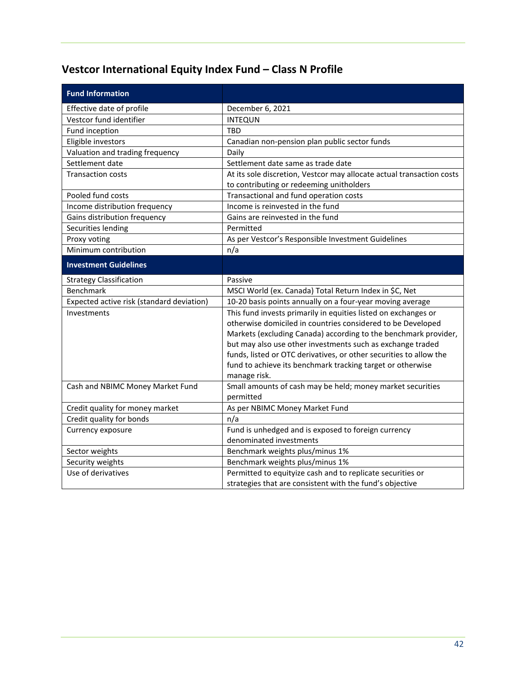## <span id="page-43-0"></span>**Vestcor International Equity Index Fund – Class N Profile**

| <b>Fund Information</b>                   |                                                                       |
|-------------------------------------------|-----------------------------------------------------------------------|
| Effective date of profile                 | December 6, 2021                                                      |
| Vestcor fund identifier                   | <b>INTEQUN</b>                                                        |
| Fund inception                            | <b>TBD</b>                                                            |
| Eligible investors                        | Canadian non-pension plan public sector funds                         |
| Valuation and trading frequency           | Daily                                                                 |
| Settlement date                           | Settlement date same as trade date                                    |
| <b>Transaction costs</b>                  | At its sole discretion, Vestcor may allocate actual transaction costs |
|                                           | to contributing or redeeming unitholders                              |
| Pooled fund costs                         | Transactional and fund operation costs                                |
| Income distribution frequency             | Income is reinvested in the fund                                      |
| Gains distribution frequency              | Gains are reinvested in the fund                                      |
| Securities lending                        | Permitted                                                             |
| Proxy voting                              | As per Vestcor's Responsible Investment Guidelines                    |
| Minimum contribution                      | n/a                                                                   |
| <b>Investment Guidelines</b>              |                                                                       |
| <b>Strategy Classification</b>            | Passive                                                               |
| Benchmark                                 | MSCI World (ex. Canada) Total Return Index in \$C, Net                |
| Expected active risk (standard deviation) | 10-20 basis points annually on a four-year moving average             |
| Investments                               | This fund invests primarily in equities listed on exchanges or        |
|                                           | otherwise domiciled in countries considered to be Developed           |
|                                           | Markets (excluding Canada) according to the benchmark provider,       |
|                                           | but may also use other investments such as exchange traded            |
|                                           | funds, listed or OTC derivatives, or other securities to allow the    |
|                                           | fund to achieve its benchmark tracking target or otherwise            |
|                                           | manage risk.                                                          |
| Cash and NBIMC Money Market Fund          | Small amounts of cash may be held; money market securities            |
|                                           | permitted                                                             |
| Credit quality for money market           | As per NBIMC Money Market Fund                                        |
| Credit quality for bonds                  | n/a                                                                   |
| Currency exposure                         | Fund is unhedged and is exposed to foreign currency                   |
|                                           | denominated investments                                               |
| Sector weights                            | Benchmark weights plus/minus 1%                                       |
| Security weights                          | Benchmark weights plus/minus 1%                                       |
| Use of derivatives                        | Permitted to equityize cash and to replicate securities or            |
|                                           | strategies that are consistent with the fund's objective              |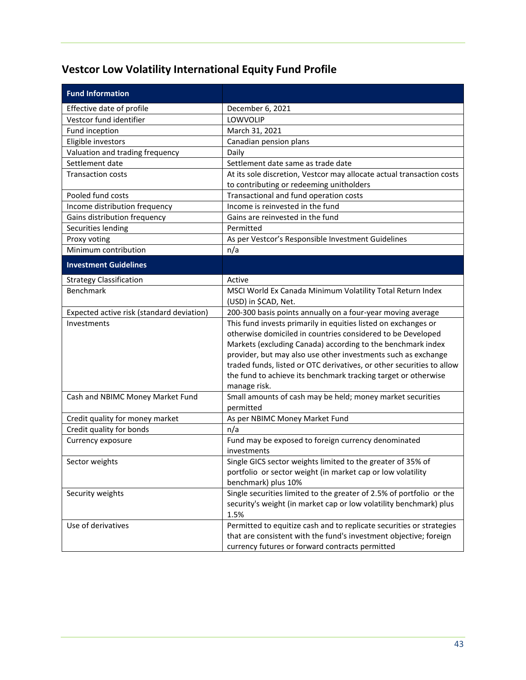## <span id="page-44-0"></span>**Vestcor Low Volatility International Equity Fund Profile**

| <b>Fund Information</b>                   |                                                                                    |
|-------------------------------------------|------------------------------------------------------------------------------------|
| Effective date of profile                 | December 6, 2021                                                                   |
| Vestcor fund identifier                   | LOWVOLIP                                                                           |
| Fund inception                            | March 31, 2021                                                                     |
| Eligible investors                        | Canadian pension plans                                                             |
| Valuation and trading frequency           | Daily                                                                              |
| Settlement date                           | Settlement date same as trade date                                                 |
| <b>Transaction costs</b>                  | At its sole discretion, Vestcor may allocate actual transaction costs              |
|                                           | to contributing or redeeming unitholders                                           |
| Pooled fund costs                         | Transactional and fund operation costs                                             |
| Income distribution frequency             | Income is reinvested in the fund                                                   |
| Gains distribution frequency              | Gains are reinvested in the fund                                                   |
| Securities lending                        | Permitted                                                                          |
| Proxy voting                              | As per Vestcor's Responsible Investment Guidelines                                 |
| Minimum contribution                      | n/a                                                                                |
| <b>Investment Guidelines</b>              |                                                                                    |
| <b>Strategy Classification</b>            | Active                                                                             |
| Benchmark                                 | MSCI World Ex Canada Minimum Volatility Total Return Index                         |
|                                           | (USD) in \$CAD, Net.                                                               |
| Expected active risk (standard deviation) | 200-300 basis points annually on a four-year moving average                        |
| Investments                               | This fund invests primarily in equities listed on exchanges or                     |
|                                           | otherwise domiciled in countries considered to be Developed                        |
|                                           | Markets (excluding Canada) according to the benchmark index                        |
|                                           | provider, but may also use other investments such as exchange                      |
|                                           | traded funds, listed or OTC derivatives, or other securities to allow              |
|                                           | the fund to achieve its benchmark tracking target or otherwise                     |
|                                           | manage risk.                                                                       |
| Cash and NBIMC Money Market Fund          | Small amounts of cash may be held; money market securities                         |
|                                           | permitted                                                                          |
| Credit quality for money market           | As per NBIMC Money Market Fund                                                     |
| Credit quality for bonds                  | n/a                                                                                |
| Currency exposure                         | Fund may be exposed to foreign currency denominated                                |
|                                           | investments                                                                        |
| Sector weights                            | Single GICS sector weights limited to the greater of 35% of                        |
|                                           | portfolio or sector weight (in market cap or low volatility<br>benchmark) plus 10% |
| Security weights                          | Single securities limited to the greater of 2.5% of portfolio or the               |
|                                           | security's weight (in market cap or low volatility benchmark) plus                 |
|                                           | 1.5%                                                                               |
| Use of derivatives                        | Permitted to equitize cash and to replicate securities or strategies               |
|                                           | that are consistent with the fund's investment objective; foreign                  |
|                                           | currency futures or forward contracts permitted                                    |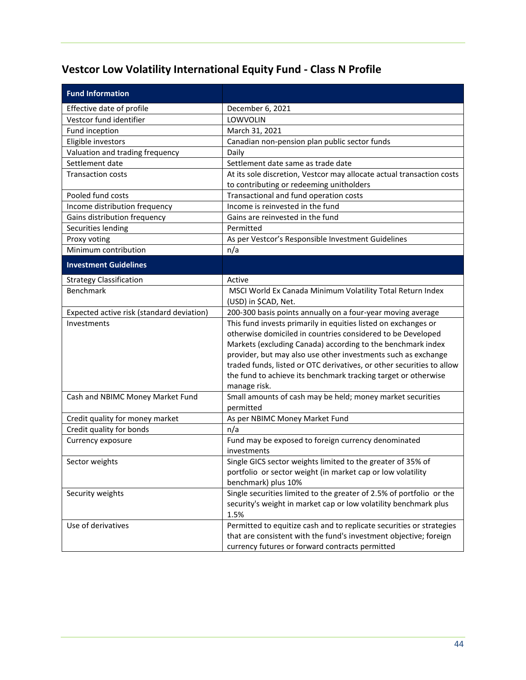## <span id="page-45-0"></span>**Vestcor Low Volatility International Equity Fund - Class N Profile**

| <b>Fund Information</b>                   |                                                                          |
|-------------------------------------------|--------------------------------------------------------------------------|
| Effective date of profile                 | December 6, 2021                                                         |
| Vestcor fund identifier                   | LOWVOLIN                                                                 |
| Fund inception                            | March 31, 2021                                                           |
| Eligible investors                        | Canadian non-pension plan public sector funds                            |
| Valuation and trading frequency           | Daily                                                                    |
| Settlement date                           | Settlement date same as trade date                                       |
| <b>Transaction costs</b>                  | At its sole discretion, Vestcor may allocate actual transaction costs    |
|                                           | to contributing or redeeming unitholders                                 |
| Pooled fund costs                         | Transactional and fund operation costs                                   |
| Income distribution frequency             | Income is reinvested in the fund                                         |
| Gains distribution frequency              | Gains are reinvested in the fund                                         |
| Securities lending                        | Permitted                                                                |
| Proxy voting                              | As per Vestcor's Responsible Investment Guidelines                       |
| Minimum contribution                      | n/a                                                                      |
| <b>Investment Guidelines</b>              |                                                                          |
| <b>Strategy Classification</b>            | Active                                                                   |
| Benchmark                                 | MSCI World Ex Canada Minimum Volatility Total Return Index               |
|                                           | (USD) in \$CAD, Net.                                                     |
| Expected active risk (standard deviation) | 200-300 basis points annually on a four-year moving average              |
| Investments                               | This fund invests primarily in equities listed on exchanges or           |
|                                           | otherwise domiciled in countries considered to be Developed              |
|                                           | Markets (excluding Canada) according to the benchmark index              |
|                                           | provider, but may also use other investments such as exchange            |
|                                           | traded funds, listed or OTC derivatives, or other securities to allow    |
|                                           | the fund to achieve its benchmark tracking target or otherwise           |
|                                           | manage risk.                                                             |
| Cash and NBIMC Money Market Fund          | Small amounts of cash may be held; money market securities               |
|                                           | permitted                                                                |
| Credit quality for money market           | As per NBIMC Money Market Fund                                           |
| Credit quality for bonds                  | n/a                                                                      |
| Currency exposure                         | Fund may be exposed to foreign currency denominated                      |
|                                           | investments                                                              |
| Sector weights                            | Single GICS sector weights limited to the greater of 35% of              |
|                                           | portfolio or sector weight (in market cap or low volatility              |
|                                           | benchmark) plus 10%                                                      |
| Security weights                          | Single securities limited to the greater of 2.5% of portfolio or the     |
|                                           | security's weight in market cap or low volatility benchmark plus<br>1.5% |
| Use of derivatives                        | Permitted to equitize cash and to replicate securities or strategies     |
|                                           | that are consistent with the fund's investment objective; foreign        |
|                                           | currency futures or forward contracts permitted                          |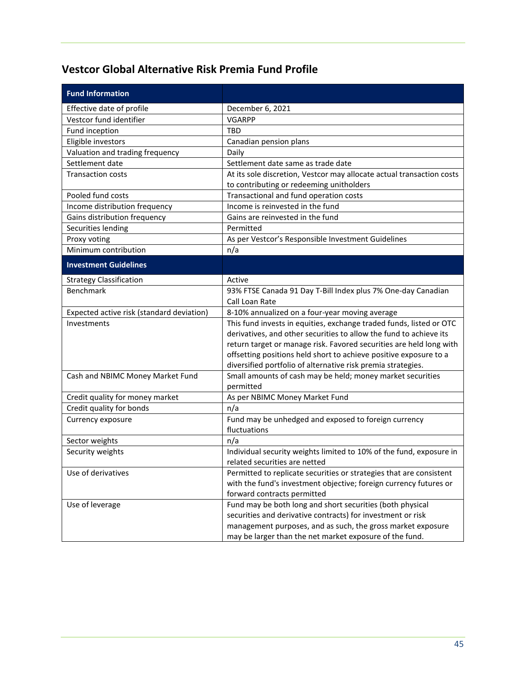#### <span id="page-46-0"></span>**Vestcor Global Alternative Risk Premia Fund Profile**

| <b>Fund Information</b>                   |                                                                         |
|-------------------------------------------|-------------------------------------------------------------------------|
| Effective date of profile                 | December 6, 2021                                                        |
| Vestcor fund identifier                   | <b>VGARPP</b>                                                           |
| Fund inception                            | <b>TBD</b>                                                              |
| Eligible investors                        | Canadian pension plans                                                  |
| Valuation and trading frequency           | Daily                                                                   |
| Settlement date                           | Settlement date same as trade date                                      |
| <b>Transaction costs</b>                  | At its sole discretion, Vestcor may allocate actual transaction costs   |
|                                           | to contributing or redeeming unitholders                                |
| Pooled fund costs                         | Transactional and fund operation costs                                  |
| Income distribution frequency             | Income is reinvested in the fund                                        |
| Gains distribution frequency              | Gains are reinvested in the fund                                        |
| Securities lending                        | Permitted                                                               |
| Proxy voting                              | As per Vestcor's Responsible Investment Guidelines                      |
| Minimum contribution                      | n/a                                                                     |
| <b>Investment Guidelines</b>              |                                                                         |
| <b>Strategy Classification</b>            | Active                                                                  |
| <b>Benchmark</b>                          | 93% FTSE Canada 91 Day T-Bill Index plus 7% One-day Canadian            |
|                                           | Call Loan Rate                                                          |
| Expected active risk (standard deviation) | 8-10% annualized on a four-year moving average                          |
| Investments                               | This fund invests in equities, exchange traded funds, listed or OTC     |
|                                           | derivatives, and other securities to allow the fund to achieve its      |
|                                           | return target or manage risk. Favored securities are held long with     |
|                                           | offsetting positions held short to achieve positive exposure to a       |
|                                           | diversified portfolio of alternative risk premia strategies.            |
| Cash and NBIMC Money Market Fund          | Small amounts of cash may be held; money market securities<br>permitted |
| Credit quality for money market           | As per NBIMC Money Market Fund                                          |
| Credit quality for bonds                  | n/a                                                                     |
| Currency exposure                         | Fund may be unhedged and exposed to foreign currency                    |
|                                           | fluctuations                                                            |
| Sector weights                            | n/a                                                                     |
| Security weights                          | Individual security weights limited to 10% of the fund, exposure in     |
|                                           | related securities are netted                                           |
| Use of derivatives                        | Permitted to replicate securities or strategies that are consistent     |
|                                           | with the fund's investment objective; foreign currency futures or       |
|                                           | forward contracts permitted                                             |
| Use of leverage                           | Fund may be both long and short securities (both physical               |
|                                           | securities and derivative contracts) for investment or risk             |
|                                           | management purposes, and as such, the gross market exposure             |
|                                           | may be larger than the net market exposure of the fund.                 |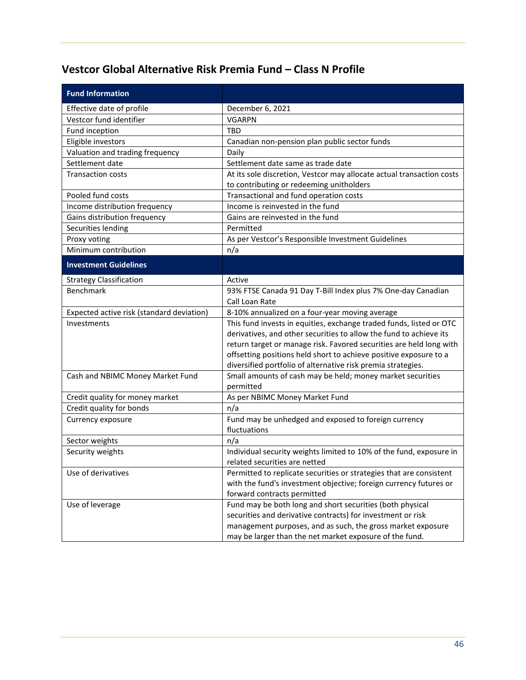### <span id="page-47-0"></span>**Vestcor Global Alternative Risk Premia Fund – Class N Profile**

| <b>Fund Information</b>                   |                                                                         |
|-------------------------------------------|-------------------------------------------------------------------------|
| Effective date of profile                 | December 6, 2021                                                        |
| Vestcor fund identifier                   | <b>VGARPN</b>                                                           |
| Fund inception                            | TBD                                                                     |
| Eligible investors                        | Canadian non-pension plan public sector funds                           |
| Valuation and trading frequency           | Daily                                                                   |
| Settlement date                           | Settlement date same as trade date                                      |
| <b>Transaction costs</b>                  | At its sole discretion, Vestcor may allocate actual transaction costs   |
|                                           | to contributing or redeeming unitholders                                |
| Pooled fund costs                         | Transactional and fund operation costs                                  |
| Income distribution frequency             | Income is reinvested in the fund                                        |
| Gains distribution frequency              | Gains are reinvested in the fund                                        |
| Securities lending                        | Permitted                                                               |
| Proxy voting                              | As per Vestcor's Responsible Investment Guidelines                      |
| Minimum contribution                      | n/a                                                                     |
| <b>Investment Guidelines</b>              |                                                                         |
| <b>Strategy Classification</b>            | Active                                                                  |
| Benchmark                                 | 93% FTSE Canada 91 Day T-Bill Index plus 7% One-day Canadian            |
|                                           | Call Loan Rate                                                          |
| Expected active risk (standard deviation) | 8-10% annualized on a four-year moving average                          |
| Investments                               | This fund invests in equities, exchange traded funds, listed or OTC     |
|                                           | derivatives, and other securities to allow the fund to achieve its      |
|                                           | return target or manage risk. Favored securities are held long with     |
|                                           | offsetting positions held short to achieve positive exposure to a       |
|                                           | diversified portfolio of alternative risk premia strategies.            |
| Cash and NBIMC Money Market Fund          | Small amounts of cash may be held; money market securities<br>permitted |
| Credit quality for money market           | As per NBIMC Money Market Fund                                          |
| Credit quality for bonds                  | n/a                                                                     |
| Currency exposure                         | Fund may be unhedged and exposed to foreign currency                    |
|                                           | fluctuations                                                            |
| Sector weights                            | n/a                                                                     |
| Security weights                          | Individual security weights limited to 10% of the fund, exposure in     |
|                                           | related securities are netted                                           |
| Use of derivatives                        | Permitted to replicate securities or strategies that are consistent     |
|                                           | with the fund's investment objective; foreign currency futures or       |
|                                           | forward contracts permitted                                             |
| Use of leverage                           | Fund may be both long and short securities (both physical               |
|                                           | securities and derivative contracts) for investment or risk             |
|                                           | management purposes, and as such, the gross market exposure             |
|                                           | may be larger than the net market exposure of the fund.                 |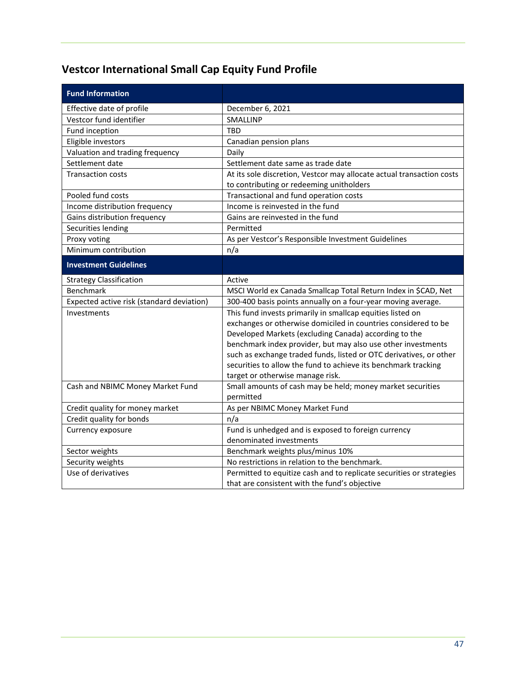## <span id="page-48-0"></span>**Vestcor International Small Cap Equity Fund Profile**

| <b>Fund Information</b>                   |                                                                                   |
|-------------------------------------------|-----------------------------------------------------------------------------------|
| Effective date of profile                 | December 6, 2021                                                                  |
| Vestcor fund identifier                   | SMALLINP                                                                          |
| Fund inception                            | <b>TBD</b>                                                                        |
| Eligible investors                        | Canadian pension plans                                                            |
| Valuation and trading frequency           | Daily                                                                             |
| Settlement date                           | Settlement date same as trade date                                                |
| <b>Transaction costs</b>                  | At its sole discretion, Vestcor may allocate actual transaction costs             |
|                                           | to contributing or redeeming unitholders                                          |
| Pooled fund costs                         | Transactional and fund operation costs                                            |
| Income distribution frequency             | Income is reinvested in the fund                                                  |
| Gains distribution frequency              | Gains are reinvested in the fund                                                  |
| Securities lending                        | Permitted                                                                         |
| Proxy voting                              | As per Vestcor's Responsible Investment Guidelines                                |
| Minimum contribution                      | n/a                                                                               |
| <b>Investment Guidelines</b>              |                                                                                   |
| <b>Strategy Classification</b>            | Active                                                                            |
| Benchmark                                 | MSCI World ex Canada Smallcap Total Return Index in \$CAD, Net                    |
| Expected active risk (standard deviation) | 300-400 basis points annually on a four-year moving average.                      |
| Investments                               | This fund invests primarily in smallcap equities listed on                        |
|                                           | exchanges or otherwise domiciled in countries considered to be                    |
|                                           | Developed Markets (excluding Canada) according to the                             |
|                                           | benchmark index provider, but may also use other investments                      |
|                                           | such as exchange traded funds, listed or OTC derivatives, or other                |
|                                           | securities to allow the fund to achieve its benchmark tracking                    |
|                                           | target or otherwise manage risk.                                                  |
| Cash and NBIMC Money Market Fund          | Small amounts of cash may be held; money market securities                        |
|                                           | permitted                                                                         |
| Credit quality for money market           | As per NBIMC Money Market Fund                                                    |
| Credit quality for bonds                  | n/a                                                                               |
| Currency exposure                         | Fund is unhedged and is exposed to foreign currency<br>denominated investments    |
|                                           |                                                                                   |
| Sector weights<br>Security weights        | Benchmark weights plus/minus 10%<br>No restrictions in relation to the benchmark. |
| Use of derivatives                        | Permitted to equitize cash and to replicate securities or strategies              |
|                                           |                                                                                   |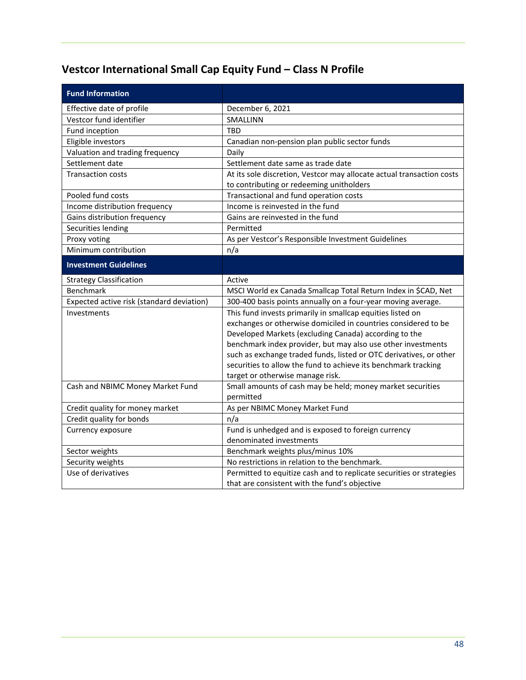## <span id="page-49-0"></span>**Vestcor International Small Cap Equity Fund – Class N Profile**

| <b>Fund Information</b>                   |                                                                       |
|-------------------------------------------|-----------------------------------------------------------------------|
| Effective date of profile                 | December 6, 2021                                                      |
| Vestcor fund identifier                   | SMALLINN                                                              |
| Fund inception                            | <b>TBD</b>                                                            |
| Eligible investors                        | Canadian non-pension plan public sector funds                         |
| Valuation and trading frequency           | Daily                                                                 |
| Settlement date                           | Settlement date same as trade date                                    |
| <b>Transaction costs</b>                  | At its sole discretion, Vestcor may allocate actual transaction costs |
|                                           | to contributing or redeeming unitholders                              |
| Pooled fund costs                         | Transactional and fund operation costs                                |
| Income distribution frequency             | Income is reinvested in the fund                                      |
| Gains distribution frequency              | Gains are reinvested in the fund                                      |
| Securities lending                        | Permitted                                                             |
| Proxy voting                              | As per Vestcor's Responsible Investment Guidelines                    |
| Minimum contribution                      | n/a                                                                   |
| <b>Investment Guidelines</b>              |                                                                       |
| <b>Strategy Classification</b>            | Active                                                                |
| Benchmark                                 | MSCI World ex Canada Smallcap Total Return Index in \$CAD, Net        |
| Expected active risk (standard deviation) | 300-400 basis points annually on a four-year moving average.          |
| Investments                               | This fund invests primarily in smallcap equities listed on            |
|                                           | exchanges or otherwise domiciled in countries considered to be        |
|                                           | Developed Markets (excluding Canada) according to the                 |
|                                           | benchmark index provider, but may also use other investments          |
|                                           | such as exchange traded funds, listed or OTC derivatives, or other    |
|                                           | securities to allow the fund to achieve its benchmark tracking        |
|                                           | target or otherwise manage risk.                                      |
| Cash and NBIMC Money Market Fund          | Small amounts of cash may be held; money market securities            |
|                                           | permitted                                                             |
| Credit quality for money market           | As per NBIMC Money Market Fund                                        |
| Credit quality for bonds                  | n/a                                                                   |
| Currency exposure                         | Fund is unhedged and is exposed to foreign currency                   |
|                                           | denominated investments                                               |
| Sector weights                            | Benchmark weights plus/minus 10%                                      |
| Security weights                          | No restrictions in relation to the benchmark.                         |
| Use of derivatives                        | Permitted to equitize cash and to replicate securities or strategies  |
|                                           | that are consistent with the fund's objective                         |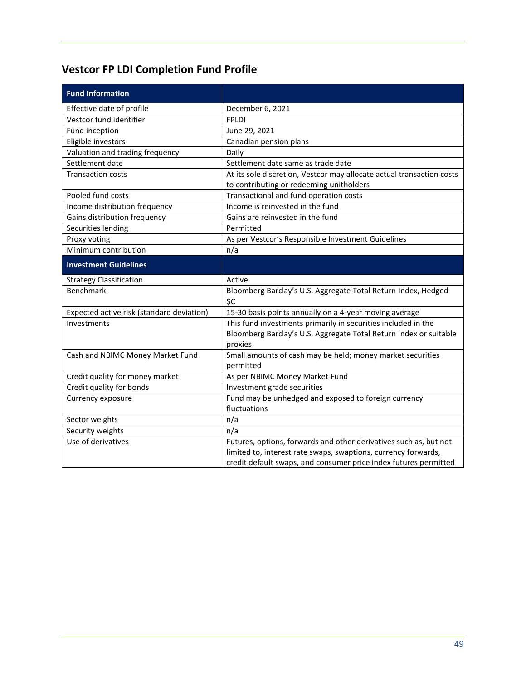## <span id="page-50-0"></span>**Vestcor FP LDI Completion Fund Profile**

| <b>Fund Information</b>                   |                                                                       |
|-------------------------------------------|-----------------------------------------------------------------------|
| Effective date of profile                 | December 6, 2021                                                      |
| Vestcor fund identifier                   | <b>FPLDI</b>                                                          |
| Fund inception                            | June 29, 2021                                                         |
| Eligible investors                        | Canadian pension plans                                                |
| Valuation and trading frequency           | Daily                                                                 |
| Settlement date                           | Settlement date same as trade date                                    |
| <b>Transaction costs</b>                  | At its sole discretion, Vestcor may allocate actual transaction costs |
|                                           | to contributing or redeeming unitholders                              |
| Pooled fund costs                         | Transactional and fund operation costs                                |
| Income distribution frequency             | Income is reinvested in the fund                                      |
| Gains distribution frequency              | Gains are reinvested in the fund                                      |
| Securities lending                        | Permitted                                                             |
| Proxy voting                              | As per Vestcor's Responsible Investment Guidelines                    |
| Minimum contribution                      | n/a                                                                   |
| <b>Investment Guidelines</b>              |                                                                       |
| <b>Strategy Classification</b>            | Active                                                                |
| <b>Benchmark</b>                          | Bloomberg Barclay's U.S. Aggregate Total Return Index, Hedged         |
|                                           | \$C                                                                   |
| Expected active risk (standard deviation) | 15-30 basis points annually on a 4-year moving average                |
| Investments                               | This fund investments primarily in securities included in the         |
|                                           | Bloomberg Barclay's U.S. Aggregate Total Return Index or suitable     |
|                                           | proxies                                                               |
| Cash and NBIMC Money Market Fund          | Small amounts of cash may be held; money market securities            |
|                                           | permitted                                                             |
| Credit quality for money market           | As per NBIMC Money Market Fund                                        |
| Credit quality for bonds                  | Investment grade securities                                           |
| Currency exposure                         | Fund may be unhedged and exposed to foreign currency                  |
|                                           | fluctuations                                                          |
| Sector weights                            | n/a                                                                   |
| Security weights                          | n/a                                                                   |
| Use of derivatives                        | Futures, options, forwards and other derivatives such as, but not     |
|                                           | limited to, interest rate swaps, swaptions, currency forwards,        |
|                                           | credit default swaps, and consumer price index futures permitted      |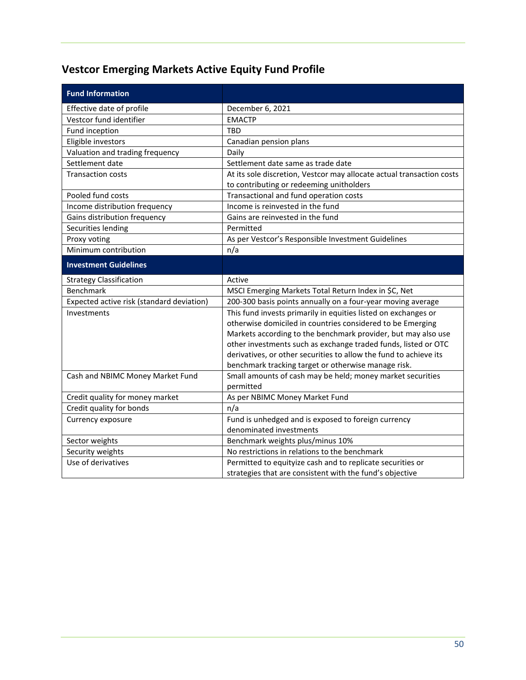## <span id="page-51-0"></span>**Vestcor Emerging Markets Active Equity Fund Profile**

| <b>Fund Information</b>                   |                                                                       |
|-------------------------------------------|-----------------------------------------------------------------------|
| Effective date of profile                 | December 6, 2021                                                      |
| Vestcor fund identifier                   | <b>EMACTP</b>                                                         |
| Fund inception                            | <b>TBD</b>                                                            |
| Eligible investors                        | Canadian pension plans                                                |
| Valuation and trading frequency           | Daily                                                                 |
| Settlement date                           | Settlement date same as trade date                                    |
| <b>Transaction costs</b>                  | At its sole discretion, Vestcor may allocate actual transaction costs |
|                                           | to contributing or redeeming unitholders                              |
| Pooled fund costs                         | Transactional and fund operation costs                                |
| Income distribution frequency             | Income is reinvested in the fund                                      |
| Gains distribution frequency              | Gains are reinvested in the fund                                      |
| Securities lending                        | Permitted                                                             |
| Proxy voting                              | As per Vestcor's Responsible Investment Guidelines                    |
| Minimum contribution                      | n/a                                                                   |
| <b>Investment Guidelines</b>              |                                                                       |
| <b>Strategy Classification</b>            | Active                                                                |
| Benchmark                                 | MSCI Emerging Markets Total Return Index in \$C, Net                  |
| Expected active risk (standard deviation) | 200-300 basis points annually on a four-year moving average           |
| Investments                               | This fund invests primarily in equities listed on exchanges or        |
|                                           | otherwise domiciled in countries considered to be Emerging            |
|                                           | Markets according to the benchmark provider, but may also use         |
|                                           | other investments such as exchange traded funds, listed or OTC        |
|                                           | derivatives, or other securities to allow the fund to achieve its     |
|                                           | benchmark tracking target or otherwise manage risk.                   |
| Cash and NBIMC Money Market Fund          | Small amounts of cash may be held; money market securities            |
|                                           | permitted                                                             |
| Credit quality for money market           | As per NBIMC Money Market Fund                                        |
| Credit quality for bonds                  | n/a                                                                   |
| Currency exposure                         | Fund is unhedged and is exposed to foreign currency                   |
|                                           | denominated investments                                               |
| Sector weights                            | Benchmark weights plus/minus 10%                                      |
| Security weights                          | No restrictions in relations to the benchmark                         |
| Use of derivatives                        | Permitted to equityize cash and to replicate securities or            |
|                                           | strategies that are consistent with the fund's objective              |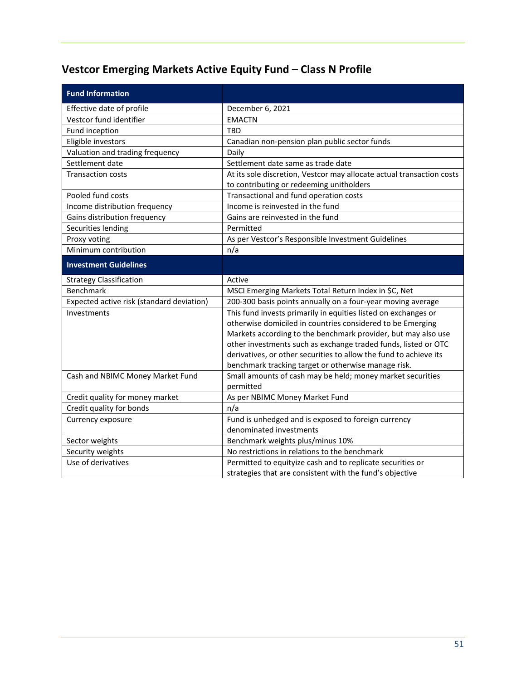# <span id="page-52-0"></span>**Vestcor Emerging Markets Active Equity Fund – Class N Profile**

| <b>Fund Information</b>                   |                                                                       |
|-------------------------------------------|-----------------------------------------------------------------------|
| Effective date of profile                 | December 6, 2021                                                      |
| Vestcor fund identifier                   | <b>EMACTN</b>                                                         |
| Fund inception                            | <b>TBD</b>                                                            |
| Eligible investors                        | Canadian non-pension plan public sector funds                         |
| Valuation and trading frequency           | Daily                                                                 |
| Settlement date                           | Settlement date same as trade date                                    |
| <b>Transaction costs</b>                  | At its sole discretion, Vestcor may allocate actual transaction costs |
|                                           | to contributing or redeeming unitholders                              |
| Pooled fund costs                         | Transactional and fund operation costs                                |
| Income distribution frequency             | Income is reinvested in the fund                                      |
| Gains distribution frequency              | Gains are reinvested in the fund                                      |
| Securities lending                        | Permitted                                                             |
| Proxy voting                              | As per Vestcor's Responsible Investment Guidelines                    |
| Minimum contribution                      | n/a                                                                   |
| <b>Investment Guidelines</b>              |                                                                       |
| <b>Strategy Classification</b>            | Active                                                                |
| Benchmark                                 | MSCI Emerging Markets Total Return Index in \$C, Net                  |
| Expected active risk (standard deviation) | 200-300 basis points annually on a four-year moving average           |
| Investments                               | This fund invests primarily in equities listed on exchanges or        |
|                                           | otherwise domiciled in countries considered to be Emerging            |
|                                           | Markets according to the benchmark provider, but may also use         |
|                                           | other investments such as exchange traded funds, listed or OTC        |
|                                           | derivatives, or other securities to allow the fund to achieve its     |
|                                           | benchmark tracking target or otherwise manage risk.                   |
| Cash and NBIMC Money Market Fund          | Small amounts of cash may be held; money market securities            |
|                                           | permitted                                                             |
| Credit quality for money market           | As per NBIMC Money Market Fund                                        |
| Credit quality for bonds                  | n/a                                                                   |
| Currency exposure                         | Fund is unhedged and is exposed to foreign currency                   |
|                                           | denominated investments                                               |
| Sector weights                            | Benchmark weights plus/minus 10%                                      |
| Security weights                          | No restrictions in relations to the benchmark                         |
| Use of derivatives                        | Permitted to equityize cash and to replicate securities or            |
|                                           | strategies that are consistent with the fund's objective              |